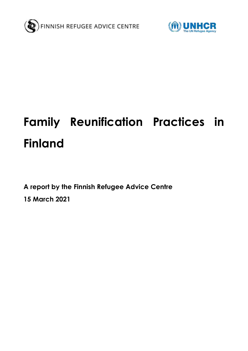



# **Family Reunification Practices in Finland**

**A report by the Finnish Refugee Advice Centre 15 March 2021**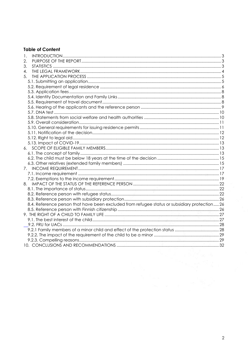## **Table of Content**

| 1.                                                                                            |  |
|-----------------------------------------------------------------------------------------------|--|
| 2.                                                                                            |  |
| 3.                                                                                            |  |
| 4.                                                                                            |  |
| 5.                                                                                            |  |
|                                                                                               |  |
|                                                                                               |  |
|                                                                                               |  |
|                                                                                               |  |
|                                                                                               |  |
|                                                                                               |  |
|                                                                                               |  |
|                                                                                               |  |
|                                                                                               |  |
|                                                                                               |  |
|                                                                                               |  |
|                                                                                               |  |
|                                                                                               |  |
|                                                                                               |  |
|                                                                                               |  |
|                                                                                               |  |
|                                                                                               |  |
| 7.                                                                                            |  |
|                                                                                               |  |
|                                                                                               |  |
| 8.                                                                                            |  |
|                                                                                               |  |
|                                                                                               |  |
|                                                                                               |  |
| 8.4. Reference person that have been excluded from refugee status or subsidiary protection 26 |  |
|                                                                                               |  |
|                                                                                               |  |
|                                                                                               |  |
|                                                                                               |  |
|                                                                                               |  |
|                                                                                               |  |
|                                                                                               |  |
|                                                                                               |  |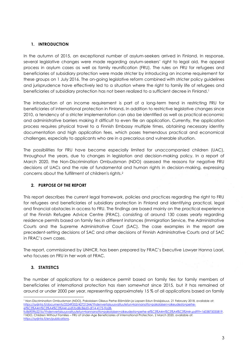## <span id="page-2-0"></span>**1. INTRODUCTION**

In the autumn of 2015, an exceptional number of asylum-seekers arrived in Finland. In response, several legislative changes were made regarding asylum-seekers' right to legal aid, the appeal process in asylum cases as well as family reunification (FRU). The rules on FRU for refugees and beneficiaries of subsidiary protection were made stricter by introducing an income requirement for these groups on 1 July 2016. The on-going legislative reform combined with stricter policy guidelines and jurisprudence have effectively led to a situation where the right to family life of refugees and beneficiaries of subsidiary protection has not been realized to a sufficient decree in Finland. 1

The introduction of an income requirement is part of a long-term trend in restricting FRU for beneficiaries of international protection in Finland**.** In addition to restrictive legislative changes since 2010, a tendency of a stricter implementation can also be identified as well as practical economic and administrative barriers making it difficult to even file an application. Currently, the application process requires physical travel to a Finnish Embassy multiple times, obtaining necessary identity documentation and high application fees, which poses tremendous practical and economical challenges, especially to applicants who are in a precarious and vulnerable situation.

The possibilities for FRU have become especially limited for unaccompanied children (UAC), throughout the years, due to changes in legislation and decision-making policy. In a report of March 2020, the Non-Discrimination Ombudsman (NDO) assessed the reasons for negative FRU decisions of UACs and the role of fundamental and human rights in decision-making, expressing concerns about the fulfillment of children's rights. 2

## <span id="page-2-1"></span>**2. PURPOSE OF THE REPORT**

This report describes the current legal framework, policies and practices regarding the right to FRU for refugees and beneficiaries of subsidiary protection in Finland and identifying practical, legal and financial obstacles in access to FRU. The findings are based mainly on the practical experience of the Finnish Refugee Advice Centre (FRAC), consisting of around 130 cases yearly regarding residence permits based on family ties in different instances (Immigration Service, the Administrative Courts and the Supreme Administrative Court (SAC). The case examples in the report are precedent-setting decisions of SAC and other decisions of Finnish Administrative Courts and of SAC in FRAC's own cases.

The report, commissioned by UNHCR, has been prepared by FRAC's Executive Lawyer Hanna Laari, who focuses on FRU in her work at FRAC.

## <span id="page-2-2"></span>**3. STATISTICS**

-

The number of applications for a residence permit based on family ties for family members of beneficiaries of international protection has risen somewhat since 2015, but it has remained at around or under 2000 per year, representing approximately 15 % of all applications based on family

<sup>1</sup> Non-Discrimination Ombudsman (NDO), Pakolaisen Oikeus Perhe-Elämään ja Lapsen Edun Ensisijaisuus, 21 February 2018, available at: [https://syrjinta.fi/documents/25249352/42721244/Yhdenvertaisuusvaltuutetun+kannanotto+pakolaisen+oikeudesta+perhe](https://syrjinta.fi/documents/25249352/42721244/Yhdenvertaisuusvaltuutetun+kannanotto+pakolaisen+oikeudesta+perhe-el%C3%A4m%C3%A4%C3%A4n.pdf/bd8c86d3-df14-4175-9a28-fc86909b221b/Yhdenvertaisuusvaltuutetun+kannanotto+pakolaisen+oikeudesta+perhe-el%C3%A4m%C3%A4%C3%A4n.pdf?t=1603875035819)[el%C3%A4m%C3%A4%C3%A4n.pdf/bd8c86d3-df14-4175-9a28-](https://syrjinta.fi/documents/25249352/42721244/Yhdenvertaisuusvaltuutetun+kannanotto+pakolaisen+oikeudesta+perhe-el%C3%A4m%C3%A4%C3%A4n.pdf/bd8c86d3-df14-4175-9a28-fc86909b221b/Yhdenvertaisuusvaltuutetun+kannanotto+pakolaisen+oikeudesta+perhe-el%C3%A4m%C3%A4%C3%A4n.pdf?t=1603875035819)

[fc86909b221b/Yhdenvertaisuusvaltuutetun+kannanotto+pakolaisen+oikeudesta+perhe-el%C3%A4m%C3%A4%C3%A4n.pdf?t=1603875035819.](https://syrjinta.fi/documents/25249352/42721244/Yhdenvertaisuusvaltuutetun+kannanotto+pakolaisen+oikeudesta+perhe-el%C3%A4m%C3%A4%C3%A4n.pdf/bd8c86d3-df14-4175-9a28-fc86909b221b/Yhdenvertaisuusvaltuutetun+kannanotto+pakolaisen+oikeudesta+perhe-el%C3%A4m%C3%A4%C3%A4n.pdf?t=1603875035819) <sup>2</sup> NDO, Children Without Families – FRU of Under-Age Beneficiaries of International Protection, 2 March 2020, available at: [https://syrjinta.fi/en/publications.](https://syrjinta.fi/en/publications)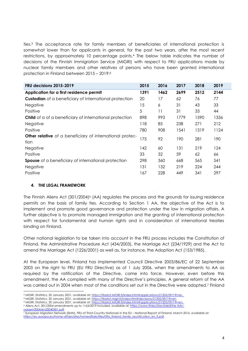ties. <sup>3</sup> The acceptance rate for family members of beneficiaries of international protection is somewhat lower than for applicants in general, for the past two years, after the most recent restrictions, by approximately 10 percentage points.<sup>4</sup> The below table indicates the number of decisions of the Finnish Immigration Service (MIGRI) with respect to FRU applications made by nuclear family members and other relatives of persons who have been granted international protection in Finland between 2015 – 2019: 5

| <b>FRU decisions 2015-2019</b>                                          | 2015 | 2016 | 2017 | 2018 | 2019 |
|-------------------------------------------------------------------------|------|------|------|------|------|
| Application for a first residence permit                                | 1391 | 1462 | 2699 | 2512 | 2144 |
| <b>Custodian</b> of a beneficiary of international protection           | 20   | 17   | 62   | 76   | 77   |
| Negative                                                                | 15   | 6    | 31   | 43   | 33   |
| Positive                                                                | 5    | 11   | 31   | 33   | 44   |
| <b>Child</b> of a of a beneficiary of international protection          | 898  | 993  | 1779 | 1590 | 1336 |
| Negative                                                                | 118  | 85   | 238  | 271  | 212  |
| Positive                                                                | 780  | 908  | 1541 | 1319 | 1124 |
| <b>Other relative</b> of a beneficiary of international protec-<br>tion | 175  | 92   | 190  | 281  | 190  |
| <b>Negative</b>                                                         | 142  | 60   | 131  | 219  | 124  |
| Positive                                                                | 33   | 32   | 59   | 62   | 66   |
| <b>Spouse</b> of a beneficiary of international protection              | 298  | 360  | 668  | 565  | 541  |
| Negative                                                                | 131  | 132  | 219  | 224  | 244  |
| Positive                                                                | 167  | 228  | 449  | 341  | 297  |

## <span id="page-3-0"></span>**4. THE LEGAL FRAMEWORK**

The Finnish Aliens Act (301/2004) <sup>6</sup> (AA) regulates the process and the grounds for issuing residence permits on the basis of family ties. According to Section 1 AA, the objective of the Act is to implement and promote good governance and protection under the law in migration affairs. A further objective is to promote managed immigration and the granting of international protection with respect for fundamental and human rights and in consideration of international treaties binding on Finland.

Other national legislation to be taken into account in the FRU process includes the Constitution of Finland, the Administrative Procedure Act (434/2003), the Marriage Act (234/1929) and the Act to amend the Marriage Act (1226/2001) as well as, for instance, the Adoption Act (153/1985).

At the European level, Finland has implemented Council Directive 2003/86/EC of 22 September 2003 on the right to FRU (EU FRU Directive) as of 1 July 2006, when the amendments to AA as required by the ratification of the Directive, came into force. However, even before this amendment, the AA complied with many of the Directive's principles. A general reform of the AA was carried out in 2004 when most of the conditions set out in the Directive were adopted. <sup>7</sup> Finland

<sup>-</sup><sup>3</sup> MIGRI, Statistics, 20 January 2021, available at: [https://tilastot.MIGRI.fi/index.html#applications/21205/59/1?l=en.](https://tilastot.migri.fi/index.html#applications/21205/59/1?l=en) 

<sup>4</sup> MIGRI, Statistics, 20 January 2021, available at: [https://tilastot.migri.fi/index.html#decisions/21205/59/1?l=en.](https://tilastot.migri.fi/index.html#decisions/21205/59/1?l=en) 

<sup>5</sup> MIGRI, Statistics, 20 January 2021, available at: [https://tilastot.MIGRI.fi/index.html#applications/21205/59/1?l=en.](https://tilastot.migri.fi/index.html#applications/21205/59/1?l=en)

<sup>6</sup> Aliens Act, 301/2004 amendments up to 1163/2019 included, available at[: https://www.finlex.fi/en/laki/kthe AAn](https://www.finlex.fi/en/laki/kaannokset/2004/en20040301.pdf)[nokset/2004/en20040301.pdf.](https://www.finlex.fi/en/laki/kaannokset/2004/en20040301.pdf) 

<sup>7</sup> European Migration Network (EMN), FRU of Third Country Nationals in the EU – National Report of Finland, March 2016, available at: [https://ec.europa.eu/home-affairs/sites/homeaffairs/files/09a\\_finland\\_family\\_reunification\\_en\\_fi.pdf.](https://ec.europa.eu/home-affairs/sites/homeaffairs/files/09a_finland_family_reunification_en_fi.pdf)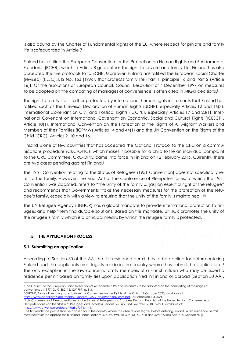is also bound by the Charter of Fundamental Rights of the EU, where respect for private and family life is safeguarded in Article 7.

Finland has ratified the European Convention for the Protection on Human Rights and Fundamental Freedoms (ECHR), which in Article 8 guarantees the right to private and family life. Finland has also accepted the five protocols to to ECHR. Moreover, Finland has ratified the European Social Charter (revised) (RESC), ETS No. 163 (1996), that protects family life (Part 1, principle 16 and Part 2 (Article 16)). Of the resolutions of European Council, Council Resolution of 4 December 1997 on measures to be adopted on the combating of marriages of convenience is often cited in MIGRI decisions. 8

The right to family life is further protected by international human rights instruments that Finland has ratified such as the Universal Declaration of Human Rights (UDHR), especially Articles 12 and 16(3), International Covenant on Civil and Political Rights (ICCPR), especially Articles 17 and 23(1), International Covenant on International Covenant on Economic, Social and Cultural Rights (ICESCR), Article 10(1), International Convention on the Protection of the Rights of All Migrant Workers and Members of their Families (ICPMW) Articles 14 and 44(1) and the UN Convention on the Rights of the Child (CRC), Articles 9, 10 and 16.

Finland is one of few countries that has accepted the Optional Protocol to the CRC on a communications procedure (CRC-OPIC), which makes it possible for a child to file an individual complaint to the CRC Committee. CRC-OPIC came into force in Finland on 12 February 2016. Currently, there are two cases pending against Finland.<sup>9</sup>

The 1951 Convention relating to the Status of Refugees (1951 Convention) does not specifically refer to the family. However, the Final Act of the Conference of Plenipotentiaries, at which the 1951 Convention was adopted, refers to "the unity of the family ... [as] an essential right of the refugee" and recommends that Governments "take the necessary measures for the protection of the refugee's family, especially with a view to ensuring that the unity of the family is maintained".<sup>10</sup>

The UN Refugee Agency (UNHCR) has a global mandate to provide international protection to refugees and help them find durable solutions. Based on this mandate, UNHCR promotes the unity of the refugee's family which is a principal means by which the refugee family is protected.

## <span id="page-4-0"></span>**5. THE APPLICATION PROCESS**

## <span id="page-4-1"></span>**5.1. Submitting an application**

-

According to Section 60 of the AA, the first residence permit has to be applied for before entering Finland and the applicants must legally reside in the country where they submit the application.<sup>11</sup> The only exception in the law concerns family members of a Finnish citizen who may be issued a residence permit based on family ties upon application filed in Finland or abroad (Section 50 AA).

<sup>8</sup> The Council of the European Union Resolution of 4 December 1997 on measures to be adopted on the combating of marriages of convenience [1997] OJ C 382, 16/12/1997, p. 1-3.

<sup>9</sup> OHCHR, Table of pending cases before the Committee on the Rights of the Child, 19 October 2020, available at: [https://www.ohchr.org/Documents/HRBodies/CRC/TablePendingCases.pdf,](https://www.ohchr.org/Documents/HRBodies/CRC/TablePendingCases.pdf) last checked 1.3.2021.

<sup>10</sup> UN Conference of Plenipotentiaries on the Status of Refugees and Stateless Persons, Final Act of the United Nations Conference of Plenipotentiaries on the Status of Refugees and Stateless Persons, 25 July 1951, A/CONF.2/108/Rev.1, available at: [http://www.refworld.org/docid/40a8a7394.html.](http://www.refworld.org/docid/40a8a7394.html)

<sup>11&</sup>quot;A first residence permit shall be applied for in the country where the alien resides legally before entering Finland. A first residence permit may, however, be applied for in Finland under Sections 47h, 49, 49a, 50, 50a, 51, 52, 52a and 52d." Aliens Act (n. 6) Section 60 (1).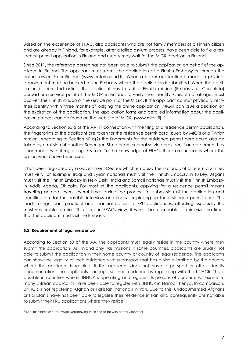Based on the experience of FRAC, also applicants who are not family members of a Finnish citizen and are already in Finland, for example, after a failed asylum process, have been able to file a residence permit application in Finland and usually may wait for the MIGRI decision in Finland.

Since 2011, the reference person has not been able to submit the application on behalf of the applicant in Finland. The applicant must submit the application at a Finnish Embassy or through the online service Enter Finland (www.enterfinland.fi). When a paper application is made, a physical appointment must be booked at the Embassy where the application is submitted. When the application is submitted online, the applicant has to visit a Finnish mission (Embassy or Consulate) abroad or a service point of the MIGRI in Finland, to verify their identity. Children of all ages must also visit the Finnish mission or the service point of the MIGRI. If the applicant cannot physically verify their identity within three months of lodging the online application, MIGRI can issue a decision on the expiration of the application. The application forms and detailed information about the application process can be found on the web site of MIGRI (www.migri.fi).<sup>12</sup>

According to Section 60 d of the AA, in connection with the filing of a residence permit application, the fingerprints of the applicant are taken for the residence permit card issued by MIGRI or a Finnish mission. According to Section 60 d(2) the fingerprints for the residence permit card could also be taken by a mission of another Schengen State or an external service provider, if an agreement has been made with it regarding this task. To the knowledge of FRAC, there are no cases where this option would have been used.

It has been regulated by a Government Decree which embassy the nationals of different countries must visit. For example, Iraqi and Syrian nationals must visit the Finnish Embassy in Turkey, Afgans must visit the Finnish Embassy in New Delhi, India and Somali nationals must visit the Finnish Embassy in Addis Abeba, Ethiopia. For most of the applicants, applying for a residence permit means travelling abroad, even several times during the process; for submission of the application and identification, for the possible interview and finally for picking up the residence permit card. This leads to significant practical and financial barriers to FRU applications, affecting especially the most vulberable families. Therefore, in FRACs view, it would be reasonable to minimize the times that the applicant must visit the Embassy.

## <span id="page-5-0"></span>**5.2. Requirement of legal residence**

-

According to Section 60 of the AA, the applicants must legally reside in the country where they submit the application. As Finland only has missions in some countries, applicants are usually not able to submit the application in their home country or country of legal residence. The applicants can show the legality of their residence with a passport that has a visa submitted by the country where the applicant is residing. If the applicant does not have a passport or other identity documentation, the applicants can legalise their residence by registering with the UNHCR. This is possible in countries where UNHCR is operating and registers its persons of concern. For example, many Eritrean applicants have been able to register with UNHCR in Nairobi, Kenya. In comparison, UNHCR is not registering Afghan or Pakistani nationals in Iran. Due to this, undocumented Afghans or Pakistanis have not been able to legalise their residence in Iran and consequently are not able to submit their FRU applications where they reside.

<sup>12</sup>See, for example: https://migri.fi/en/moving-to-finland-to-be-with-a-family-member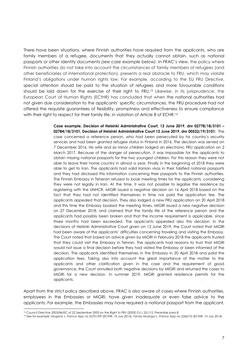There have been situations, where Finnish authorities have required from the applicants, who are family members of a refugee, documents that they actually cannot obtain, such as national passports or other identity documents *(see case example below).* In FRAC's view, the policy where Finnish authorities do not take into account the circumstances of family members of refugees (and other beneficiaries of international protection), presents a real obstacle to FRU, which may violate Finland's obligations under human rights law. For example, according to the EU FRU Directive, special attention should be paid to the situation of refugees and more favourable conditions should be laid down for the exercise of their right to FRU. <sup>13</sup> Likewise, in its jurisprudence, the European Court of Human Rights (ECtHR) has concluded that when the national authorities had not given due consideration to the applicants' specific circumstances, the FRU procedure had not offered the requisite guarantees of flexibility, promptness and effectiveness to ensure compliance with their right to respect for their family life, in violation of Article 8 of ECHR.<sup>14</sup>

> **Case example, Decision of Helsinki Administrative Court, 12 June 2019, dnr 02778/18/3101 – 02784/18/3101, Decision of Helsinki Administrative Court 12 June 2019, dnr 00532/19/3101:** The case concerned a reference person, who had been persecuted by his country's security services and had been granted refugee status in Finland in 2016. The decision was served on 7 December 2016. His wife and six minor children lodged an electronic FRU application on 2 March 2017. Because of the danger of persecution, it was impossible for the applicants to obtain missing national passports for the two youngest children. For this reason they were not able to leave their home country in almost a year. Finally in the beginning of 2018 they were able to get to Iran. The applicants had valid Iranian visas in their falsified national passports and they had disclosed this information concerning their passports to the Finnish authorities. The Finnish Embassy in Teheran refused to book meeting times for the applicants, considering they were not legally in Iran. At the time, it was not possible to legalise the residence by registering with the UNHCR. MIGRI issued a negative decision on 16 April 2018 based on the fact that they had not identified themselves in time nor paid the application fee. The applicants appealed that decision. They also lodged a new FRU application on 20 April 2018 and this time the Embassy booked the meeting times. MIGRI issued a new negative decision on 27 December 2018, and claimed that the family life of the reference person and the applicants had possibly been broken and that the income requirement is applicable, since three months had been exceeded. The applicants appealed also this decision. In the decisions of Helsinki Administrative Court given on 12 June 2019, the Court noted that MIGRI had been aware of the applicants' difficulties concerning traveling and visiting the Embassy. The Court noted that based on advice given by MIGRI in February 2018 the applicants trusted that they could visit the Embassy in Tehran. The applicants had reasons to trust that MIGRI would not issue a final decision before they had visited the Embassy or been informed of the decision. The applicants identified themselves in the Embassy in 20 April 2018 and paid the application fees. Taking also into account the great importance of the matter to the applicants and other clarification given in the case and the requirement of good governance, the Court annulled both negative decisions by MIGRI and returned the cases to MIGRI for a new decision. In summer 2019, MIGRI granted residence permits for the applicants.

Apart from the strict policy described above, FRAC is also aware of cases where Finnish authorities, employees in the Embassies or MIGRI, have given inadequate or even false advice to the applicants. For example, the Embassies may have required a national passport from the applicant,

-

<sup>13</sup> Council Directive 2003/86/EC of 22 September 2003 on the Right to FRU [2003] OJ L 251/12, Preamble para 8.

<sup>14</sup> See for example, *Mugenzi v. France* App no 52701/09 (ECtHR, 10 July 2014), *Tanda Muzinga v. France* App no 2260/10 (ECtHR, 10 July 2014).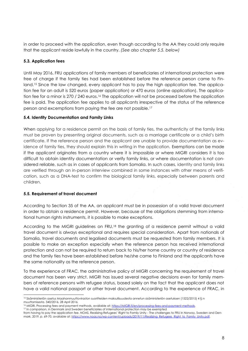in order to proceed with the application, even though according to the AA they could only require that the applicant reside lawfully in the country. *(See also chapter 5.5. below)*

## <span id="page-7-0"></span>**5.3. Application fees**

Until May 2016, FRU applications of family members of beneficiaries of international protection were free of charge if the family ties had been established before the reference person came to Finland.<sup>15</sup> Since the law changed, every applicant has to pay the high application fee. The application fee for an adult is 520 euros (paper application) or 470 euros (online application). The application fee for a minor is 270 / 240 euros.<sup>16</sup> The application will not be processed before the application fee is paid. The application fee applies to all applicants irrespective of the status of the reference person and excemptions from paying the fee are not possible. 17

## <span id="page-7-1"></span>**5.4. Identity Documentation and Family Links**

When applying for a residence permit on the basis of family ties, the authenticity of the family links must be proven by presenting original documents, such as a marriage certificate or a child's birth certificate. If the reference person and the applicant are unable to provide documentation as evidence of family ties, they should explain this in writing in the application. Exemptions can be made if the applicant originates from a country where it is impossible or where MIGRI considers it is too difficult to obtain identity documentation or verify family links, or where documentation is not considered reliable, such as in cases of applicants from Somalia. In such cases, identity and family links are verified through an in-person interview combined in some instances with other means of verification, such as a DNA-test to confirm the biological family links, especially between parents and children.

## <span id="page-7-2"></span>**5.5. Requirement of travel document**

1

According to Section 35 of the AA, an applicant must be in possession of a valid travel document in order to obtain a residence permit. However, because of the obligations stemming from international human rights instruments, it is possible to make exceptions.

According to the MIGRI guidelines on FRU,<sup>18</sup> the granting of a residence permit without a valid travel document is always exceptional and requires special consideration. Apart from nationals of Somalia, travel documents and legalised documents must be requested from family members. It is possible to make an exception especially when the reference person has received international protection and can not be required to return back to his/her home country or country of residence and the family ties have been established before he/she came to Finland and the applicants have the same nationality as the reference person.

To the experience of FRAC, the administrative policy of MIGRI concerning the requirement of travel document has been very strict. MIGRI has issued several negative decisions even for family members of reference persons with refugee status, based solely on the fact that the applicant does not have a valid national passport or other travel document. According to the experience of FRAC, in

17 In comparison, in Denmark and Sweden beneficiaries of international protection may be exempted from having to pay the application fee. NOAS, Realizing Refugees' Right to Family Unity - The challenges to FRU in Norway, Sweden and Den-

<sup>15</sup> Sisäministeriön asetus Maahanmuuttoviraston suoritteiden maksullisuudesta annetun sisäministeriön asetuksen (1522/2015) 4 §:n muuttamisesta. 340/2016, 28 April 2016.

<sup>16</sup> MIGRI, Processing fees and payment methods, available at[: https://MIGRI.fi/en/processing-fees-and-payment-methods.](https://migri.fi/en/processing-fees-and-payment-methods)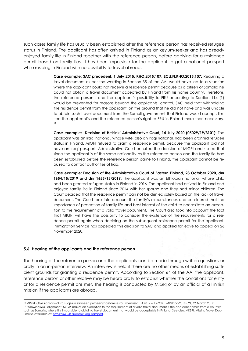such cases family life has usually been established after the reference person has received refugee status in Finland. The applicant has often arrived in Finland as an asylum-seeker and has already enjoyed family life in Finland together with the reference person, before applying for a residence permit based on family ties. It has been impossible for the applicant to get a national passport while residing in Finland with no possibility to travel abroad.

> **Case example: SAC precedent, 1 July 2015, KHO:2015:107, ECLI:FI:KHO:2015:107:** Requiring a travel document as per the wording in Section 35 of the AA, would have led to a situation where the applicant could not receive a residence permit because as a citizen of Somalia he could not obtain a travel document accepted by Finland from his home country. Therefore, the reference person's and the applicant's possibility to FRU according to Section 114 (1) would be prevented for reasons beyond the applicants' control. SAC held that withholding the residence permit from the applicant, on the ground that he did not have and was unable to obtain such travel document from the Somali government that Finland would accept, limited the applicant's and the reference person's right to FRU in Finland more than necessary. 19

> **Case example: Decision of Helsinki Administrative Court, 14 July 2020 (05029/19/3101):** The applicant was an Iraqi national, whose wife, also an Iraqi national, had been granted refugee status in Finland. MIGRI refused to grant a residence permit, because the applicant did not have an Iraqi passport. Administrative Court annulled the decision of MIGRI and stated that since the applicant is of the same nationality as the reference person and the family tie had been established before the reference person came to Finland, the applicant cannot be required to contact authorities of Iraq.

> **Case example: Decision of the Administrative Court of Eastern Finland, 28 October 2020, dnr 1654/15/2019 and dnr 1655/15/2019:** The applicant was an Ethiopian national, whose child had been granted refugee status in Finland in 2016. The applicant had arrived to Finland and enjoyed family life in Finland since 2014 with her spouse and they had minor children. The Court decided that the residence permit can not be denied solely based on the lack of travel document. The Court took into account the family's circumstances and considered that the importance of protection of family life and best interest of the child to necessitate an exception to the requirement of a valid travel document. The Court also took into account the fact that MIGRI will have the possibility to consider the existence of the requirements for a residence permit again when deciding on the subsequent residence permit for the applicant. Immigration Service has appealed this decision to SAC and applied for leave to appeal on 26 November 2020.

#### <span id="page-8-0"></span>**5.6. Hearing of the applicants and the reference person**

1

The hearing of the reference person and the applicants can be made through written questions or orally in an in-person interview. An interview is held if there are no other means of establishing sufficient grounds for granting a residence permit. According to Section 64 of the AA, the applicant, reference person or other relative may be heard orally to establish whether the conditions for entry or for a residence permit are met. The hearing is conducted by MIGRI or by an official of a Finnish mission if the applicants are abroad.

<sup>18</sup> MIGRI, Ohje kansainvälistä suojelua saaneen perheenyhdistämisestä , voimassa 1.4.2019 – 1.4.2021, MIGDno-2019-521, 26 March 2019. <sup>19</sup> Following SAC alignment, MIGRI makes an exception to the requirement of a valid travel document if the applcant comes from a country, such as Somalia, where it is impossible to obtain a travel document that would be acceptable in Finland. See also, MIGRI, Missing Travel Document, available at: [https://MIGRI.fi/en/missing-passport.](https://migri.fi/en/missing-passport)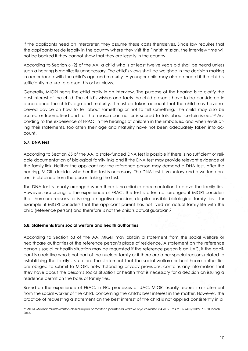If the applicants need an interpreter, they assume these costs themselves. Since law requires that the applicants reside legally in the country where they visit the Finnish mission, the interview time will not be booked if they cannot show that they are legally in the country.

According to Section 6 (2) of the AA, a child who is at least twelve years old shall be heard unless such a hearing is manifestly unnecessary. The child's views shall be weighed in the decision making in accordance with the child's age and maturity. A younger child may also be heard if the child is sufficiently mature to present his or her views.

Generally, MIGRI hears the child orally in an interview. The purpose of the hearing is to clarify the best interest of the child. The child's wishes and facts the child presents have to be considered in accordance the child's age and maturity. It must be taken account that the child may have received advice on how to tell about something or not to tell something. The child may also be scared or traumatised and for that reason can not or is scared to talk about certain issues.<sup>20</sup> According to the experience of FRAC, in the hearings of children in the Embassies, and when evaluating their statements, too often their age and maturity have not been adequately taken into account.

## <span id="page-9-0"></span>**5.7. DNA test**

-

According to Section 65 of the AA, a state-funded DNA test is possible if there is no sufficient or reliable documentation of biological family links and if the DNA test may provide relevant evidence of the family link. Neither the applicant nor the reference person may demand a DNA test. After the hearing, MIGRI decides whether the test is necessary. The DNA test is voluntary and a written consent is obtained from the person taking the test.

The DNA test is usually arranged when there is no reliable documentation to prove the family ties. However, according to the experience of FRAC, the test is often not arranged if MIGRI considers that there are reasons for issuing a negative decision, despite possible biolological family ties – for example, if MIGRI considers that the applicant parent has not lived an actual family life with the child (reference person) and therefore is not the child's actual guardian.<sup>21</sup>

## <span id="page-9-1"></span>**5.8. Statements from social welfare and health authorities**

According to Section 63 of the AA, MIGRI may obtain a statement from the social welfare or healthcare authorities of the reference person's place of residence. A statement on the reference person's social or health situation may be requested if the reference person is an UAC, if the applicant is a relative who is not part of the nuclear family or if there are other special reasons related to establishing the family's situation. The statement that the social welfare or healthcare authorities are obliged to submit to MIGRI, notwithstanding privacy provisions, contains any information that they have about the person's social situation or health that is necessary for a decision on issuing a residence permit on the basis of family ties.

Based on the experience of FRAC, in FRU processes of UAC, MIGRI usually requests a statement from the social worker of the child, concerning the child's best interest in the matter. However, the practice of requesting a statement on the best interest of the child is not applied consistently in all

<sup>20</sup> MIGRI, Maahanmuuttoviraston oleskelulupaa perhesiteen perusteella koskeva ohje voimassa 2.4.2012 – 2.4.2016, MIG/2012/161, 30 March 2012.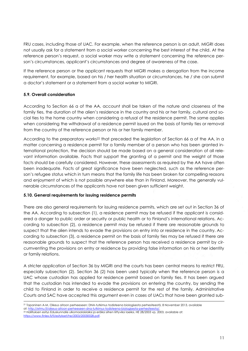FRU cases, including those of UAC. For example, when the reference person is an adult, MIGRI does not usually ask for a statement from a social worker concerning the best interest of the child. At the reference person's request, a social worker may write a statement concerning the reference person's circumstances, applicant's circumstances and degree of awareness of the case.

If the reference person or the applicant requests that MIGRI makes a derogation from the income requirement, for example, based on his / her health situation or circumstances, he / she can submit a doctor's statement or a statement from a social worker to MIGRI.

## <span id="page-10-0"></span>**5.9. Overall consideration**

According to Section 66 a of the AA, account shall be taken of the nature and closeness of the family ties, the duration of the alien's residence in the country and his or her family, cultural and social ties to the home country when considering a refusal of the residence permit. The same applies when considering the withdrawal of a residence permit issued on the basis of family ties or removal from the country of the reference person or his or her family member.

According to the preparatory works<sup>22</sup> that preceded the legislation of Section 66 a of the AA, in a matter concerning a residence permit for a family member of a person who has been granted international protection, the decision should be made based on a general consideration of all relevant information available. Facts that support the granting of a permit and the weight of those facts should be carefully considered. However, these assessments as required by the AA have often been inadequate. Facts of great significance have been neglected, such as the reference person's refugee status which in turn means that the family life has been broken for compelling reasons and enjoyment of which is not possible anywhere else than in Finland. Moreover, the generally vulnerable circumstances of the applicants have not been given sufficient weight.

## <span id="page-10-1"></span>**5.10. General requirements for issuing residence permits**

There are also general requirements for issuing residence permits, which are set out in Section 36 of the AA. According to subsection (1), a residence permit may be refused if the applicant is considered a danger to public order or security or public health or to Finland's international relations. According to subsection (2), a residence permit may be refused if there are reasonable grounds to suspect that the alien intends to evade the provisions on entry into or residence in the country. According to subsection (3), a residence permit on the basis of family ties may be refused if there are reasonable grounds to suspect that the reference person has received a residence permit by circumventing the provisions on entry or residence by providing false information on his or her identity or family relations.

A stricter application of Section 36 by MIGRI and the courts has been central means to restrict FRU, especially subsection (2). Section 36 (2) has been used typically when the reference person is a UAC whose custodian has applied for residence permit based on family ties. It has been argued that the custodian has intended to evade the provisions on entering the country, by sending the child to Finland in order to receive a residence permit for the rest of the family. Administrative Courts and SAC have accepted this argument even in cases of UACs that have been granted sub-

 $\overline{a}$ <sup>21</sup> Tapaninen A-M, Oikeus aitoon perheeseen: DNA-tutkimus todisteena biologisesta perhesiteestä, 8 November 2013, available at: http://etmu.fi/oikeus-aitoon-perheeseen-dna-tutkimus-todistee

<sup>22</sup> Hallituksen esitys Eduskunnalle ulkomaalaislaiksi ja eräiksi siihen liittyviksi laeiksi, HE 28/2003 vp, 2003, available at: [https://www.finlex.fi/fi/esitykset/he/2003/20030028.pdf.](https://www.finlex.fi/fi/esitykset/he/2003/20030028.pdf)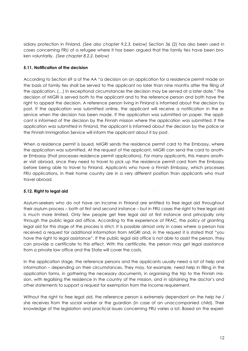sidiary protection in Finland. *(See also chapter 9.2.3. below)* Section 36 (2) has also been used in cases concerning FRU of a refugee where it has been argued that the family ties have been broken voluntarily. *(See chapter 8.2.2. below)*

## <span id="page-11-0"></span>**5.11. Notification of the decision**

According to Section 69 a of the AA "a decision on an application for a residence permit made on the basis of family ties shall be served to the applicant no later than nine months after the filing of the application. (…) In exceptional circumstances the decision may be served at a later date." The decision of MIGRI is served both to the applicant and to the reference person and both have the right to appeal the decision. A reference person living in Finland is informed about the decision by post. If the application was submitted online, the applicant will receive a notification in the eservice when the decision has been made. If the application was submitted on paper, the applicant is informed of the decision by the Finnish mission where the application was submitted. If the application was submitted in Finland, the applicant is informed about the decision by the police or the Finnish Immigration Service will inform the applicant about it by post.

When a residence permit is issued, MIGRI sends the residence permit card to the Embassy, where the application was submitted. At the request of the applicant, MIGRI can send the card to another Embassy (that processes residence permit applications). For many applicants, this means another visit abroad, since they need to travel to pick up the residence permit card from the Embassy before being able to travel to Finland. Applicants who have a Finnish Embassy, which processes FRU applications, in their home country are in a very different position than applicants who must travel abroad.

## <span id="page-11-1"></span>**5.12. Right to legal aid**

Asylum-seekers who do not have an income in Finland are entitled to free legal aid throughout their asylum process – both at first and second instance – but in FRU cases the right to free legal aid is much more limited. Only few people get free legal aid at first instance and principally only through the public legal aid office. According to the experience of FRAC, the policy of granting legal aid for this stage of the process is strict. It is possible almost only in cases where a person has received a request for additional information from MIGRI and, in the request it is stated that "you have the right to legal assistance". If the public legal aid office is not able to assist the person, they can provide a certificate to this effect. With this certificate, the person may get legal assistance from a private law office and the State will cover the costs.

In the application stage, the reference persons and the applicants usually need a lot of help and information – depending on their circumstances. They may, for example, need help in filling in the application forms, in gathering the necessary documents, in organising the trip to the Finnish mission, with legalising the residence in the country of the mission, and in obtaining the doctor's and other statements to support a request for exemption from the income requirement.

Without the right to free legal aid, the reference person is extremely dependant on the help he / she receives from the social worker or the guardian (in case of an unaccompanied child). Their knowledge of the legislation and practical issues concerning FRU varies a lot. Based on the experi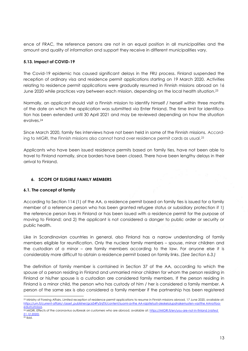ence of FRAC, the reference persons are not in an equal position in all municipalities and the amount and quality of information and support they receive in different municipalities vary.

## <span id="page-12-0"></span>**5.13. Impact of COVID-19**

The Covid-19 epidemic has caused significant delays in the FRU process. Finland suspended the reception of ordinary visa and residence permit applications starting on 19 March 2020. Activities relating to residence permit applications were gradually resumed in Finnish missions abroad on 16 June 2020 while practices vary between each mission, depending on the local health situation. 23

Normally, an applicant should visit a Finnish mission to identify himself / herself within three months of the date on which the application was submitted via Enter Finland. The time limit for identification has been extended until 30 April 2021 and may be reviewed depending on how the situation evolves.<sup>24</sup>

Since March 2020, family ties interviews have not been held in some of the Finnish missions. According to MIGRI, the Finnish missions also cannot hand over residence permit cards as usual.<sup>25</sup>

Applicants who have been issued residence permits based on family ties, have not been able to travel to Finland normally, since borders have been closed. There have been lengthy delays in their arrival to Finland.

## <span id="page-12-1"></span>**6. SCOPE OF ELIGIBLE FAMILY MEMBERS**

## <span id="page-12-2"></span>**6.1. The concept of family**

According to Section 114 (1) of the AA, a residence permit based on family ties is issued for a family member of a reference person who has been granted refugee status or subsidiary protection if 1) the reference person lives in Finland or has been issued with a residence permit for the purpose of moving to Finland; and 2) the applicant is not considered a danger to public order or security or public health.

Like in Scandinavian countries in general, also Finland has a narrow understanding of family members eligible for reunification. Only the nuclear family members – spouse, minor children and the custodian of a minor – are family members according to the law. For anyone else it is considerably more difficult to obtain a residence permit based on family links. *(See Section 6.3.)*

The definition of family member is contained in Section 37 of the AA, according to which the spouse of a person residing in Finland and unmarried minor children for whom the person residing in Finland or his/her spouse is a custodian are considered family members. If the person residing in Finland is a minor child, the person who has custody of him / her is considered a family member. A person of the same sex is also considered a family member if the partnership has been registered

1

<sup>&</sup>lt;sup>23</sup> Ministry of Foreing Affairs, Limited reception of residence permit applications to resume in Finnish missions abroad, 17 June 2020, available at: [https://um.fi/current-affairs/-/asset\\_publisher/gc654PySnjTX/content/suomi-avthe AA-rajoitetusti-oleskelulupahakemusten-vastthe AAnottoa](https://um.fi/current-affairs/-/asset_publisher/gc654PySnjTX/content/suomi-avaa-rajoitetusti-oleskelulupahakemusten-vastaanottoa-edustustoissa)[edustustoissa.](https://um.fi/current-affairs/-/asset_publisher/gc654PySnjTX/content/suomi-avaa-rajoitetusti-oleskelulupahakemusten-vastaanottoa-edustustoissa)

<sup>24</sup> MIGRI, Effects of the coronavirus outbreak on customers who are abroad, available at[: https://MIGRI.fi/en/you-are-not-in-finland](https://migri.fi/en/you-are-not-in-finland) *(visited 21.12.2020).* 

 $25$  Ibid.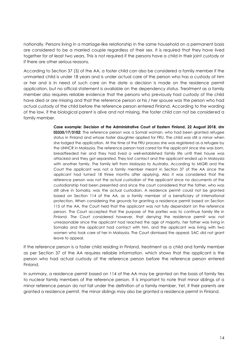nationally. Persons living in a marriage-like relationship in the same household on a permanent basis are considered to be a married couple regardless of their sex. It is required that they have lived together for at least two years. This is not required if the persons have a child in their joint custody or if there are other serious reasons.

According to Section 37 (3) of the AA, a foster child can also be considered a family member if the unmarried child is under 18 years and is under actual care of the person who has a custody of him or her and is in need of such care on the date a decision is made on the residence permit application, but no official statement is available on the dependency status. Treatment as a family member also requires reliable evidence that the persons who previously had custody of the child have died or are missing and that the reference person or his / her spouse was the person who had actual custody of the child before the reference person entered Finland. According to the wording of the law, if the biological parent is alive and not missing, the foster child can not be considered a family member.

> **Case example: Decision of the Administrative Court of Eastern Finland, 22 August 2018, dnr 03335/17/3102:** The reference person was a Somali woman, who had been granted refugee status in Finland and whose foster daughter applied for FRU. The child was still a minor when she lodged the application. At the time of the FRU process she was registered as a refugee by the UNHCR in Malaysia. The reference person had cared for the applicant since she was born, breastfeeded her and they had lived a well-established family life until their house was attacked and they got separated. They lost contact and the applicant ended up in Malaysia with another family. The family left from Malaysia to Australia. According to MIGRI and the Court the applicant was not a family member meant in Section 37 of the AA since the applicant had turned 18 three months after applying. Also it was considered that the reference person was not the actual custodian of the applicant since no documents of the custodianship had been presented and since the court considered that the father, who was still alive in Somalia, was the actual custodian. A residence permit could not be granted based on Section 114 of the AA, as a family member of a beneficiary of international protection. When considering the grounds for granting a residence permit based on Section 115 of the AA, the Court held that the applicant was not fully dependant on the reference person. The Court accepted that the purpose of the parties was to continue family life in Finland. The Court considered however, that denying the residence permit was not unreasonable since the applicant had reached the age of majority, her father was living in Somalia and the applicant had contact with him, and the applicant was living with two women who took care of her in Malaysia. The Court dismissed the appeal. SAC did not grant leave to appeal.

If the reference person is a foster child residing in Finland, treatment as a child and family member as per Section 37 of the AA requires reliable information, which shows that the applicant is the person who had actual custody of the reference person before the reference person entered Finland.

In summary, a residence permit based on 114 of the AA may be granted on the basis of family ties to nuclear family members of the reference person. It is important to note that minor siblings of a minor reference person do not fall under the definition of a family member. Yet, if their parents are granted a residence permit, the minor siblings may also be granted a residence permit in Finland.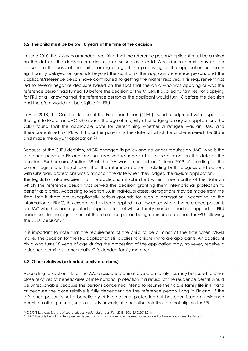#### <span id="page-14-0"></span>**6.2. The child must be below 18 years at the time of the decision**

In June 2010, the AA was amended, requiring that the reference person/applicant must be a minor on the date of the decision in order to be assessed as a child. A residence permit may not be refused on the basis of the child coming of age if the processing of the application has been significantly delayed on grounds beyond the control of the applicant/reference person, and the applicant/reference person have contributed to getting the matter resolved. This requirement has led to several negative decisions based on the fact that the child who was applying or was the reference person had turned 18 before the decision of the MIGRI. It also led to families not applying for FRU at all, knowing that the reference person or the applicant would turn 18 before the decision and therefore would not be eligible for FRU.

In April 2018, the Court of Justice of the European Union (CJEU) issued a judgment with respect to the right to FRU of an UAC who reach the age of majority after lodging an asylum application. The CJEU found that the applicable date for determining whether a refugee was an UAC and therefore entitled to FRU with his or her parents, is the date on which he or she entered the State and made the asylum application.<sup>26</sup>

Because of the CJEU decision, MIGRI changed its policy and no longer requires an UAC, who is the reference person in Finland and has received refugee status, to be a minor on the date of the decision. Furthermore, Section 38 of the AA was amended on 1 June 2019. According to the current legislation, it is sufficient that the reference person (including both refugees and persons with subsidiary protection) was a minor on the date when they lodged the asylum application.

The legislation also requires that the application is submitted within three months of the date on which the reference person was served the decision granting them international protection to benefit as a child. According to Section 38, in individual cases, derogations may be made from the time limit if there are exceptionally serious grounds for such a derogation. According to the information of FRAC, this exception has been applied in a few cases where the reference person is an UAC who has been granted refugee status but whose family members had not applied for FRU earlier due to the requirement of the reference person being a minor but applied for FRU following the CJEU decision. 27

It is important to note that the requirement of the child to be a minor at the time when MIGRI makes the decision for the FRU application still applies to children who are applicants. An applicant child who turns 18 years of age during the processing of the application may, however, receive a residence permit as "other relative" (extended family member).

## <span id="page-14-1"></span>**6.3. Other relatives (extended family members)**

-

According to Section 115 of the AA, a residence permit based on family ties may be issued to other close relatives of beneficiaries of international protection if a refusal of the residence permit would be unreasonable because the persons concerned intend to resume their close family life in Finland or because the close relative is fully dependent on the reference person living in Finland. If the reference person is not a beneficiary of international protection but has been issued a residence permit on other grounds, such as study or work, his / her other relatives are not eligible for FRU.

<sup>26</sup> C 550/16, *A. and S. v. Staatssecretaris van Veiligheid en Justitie*, [2018] ECLI:EU:C:2018:248.

<sup>27</sup> FRAC has only heard of a few positive decisions and is not aware how this exeption is applied or how many cases like this exist.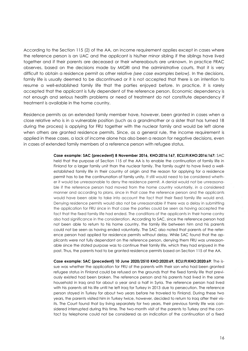According to the Section 115 (2) of the AA, an income requirement applies except in cases where the reference person is an UAC and the applicant is his/her minor sibling if the siblings have lived together and if their parents are deceased or their whereabouts are unknown. In practice FRAC observes, based on the decisions made by MIGRI and the administrative courts, that it is very difficult to obtain a residence permit as other relative *(see case examples below).* In the decisions, family life is usually deemed to be discontinued or it is not accepted that there is an intention to resume a well-established family life that the parties enjoyed before. In practice, it is rarely accepted that the applicant is fully dependent of the reference person. Economic dependency is not enough and serious health problems or need of treatment do not constitute dependency if treatment is available in the home country.

Residence permits as an extended family member have, however, been granted in cases when a close relative who is in a vulnerable position (such as a grandmother or a sister that has turned 18 during the process) is applying for FRU together with the nuclear family and would be left alone when others are granted residence permits. Since, as a general rule, the income requirement is applied in these cases, a lack of income alone has also been a reason for negative decisions, even in cases of extended family members of a reference person with refugee status.

> **Case example: SAC (precedent) 8 November 2016, KHO:2016:167, ECLI:FI:KHO:2016:167:** SAC held that the purpose of Section 115 of the AA is to enable the continuation of family life in Finland for a larger family unit than the nuclear family. The family ought to have lived a wellestablished family life in their country of origin and the reason for applying for a residence permit has to be the continunation of family unity. It still would need to be considered whether it would be unreasonable to deny the residence permit. A denial would not be unreasonable if the reference person had moved from the home country voluntarily, in a considered manner and according to plans, since in that case the reference person and the applicants would have been able to take into account the fact that their fixed family life would end. Denying residence permits would also not be unreasonable if there was a delay in submitting the application for FRU since in that case the parties could be seen as having accepted the fact that the fixed family life had ended. The conditions of the applicants in their home contry also had significance in the consideration. According to SAC, since the reference person had not been able to return to his home country, the family life between him and his parents could not be seen as having ended voluntarily. The SAC also noted that parents of the reference person had applied for residence permits without delay. While SAC found that the applicants were not fully dependant on the reference person, denying them FRU was unreasonable since the stated purpose was to continue their family life, which they had enjoyed in the past. Thus, the parents had to be granted residence permits based on Section 115 of the AA.

> **Case example: SAC (precedent) 10 June 2020/2510 KHO:2020:69, ECLI:FI:KHO:2020:69**: The issue was whether the application for FRU of the parents with their son who had been granted refugee status in Finland could be refused on the grounds that the fixed family life that previously existed had been broken. The reference person and his parents had lived in the same household in Iraq and for about a year and a half in Syria. The reference person had lived with his parents all his life until he left Iraq for Turkey in 2013 due to persecution. The reference person stayed in Turkey for about two years before he traveled to Finland. During these two years, the parents visited him in Turkey twice, however, decided to return to Iraq after their visits. The Court found that by living separately for two years, their previous family life was considered interrupted during this time. The two-month visit of the parents to Turkey and the contact by telephone could not be considered as an indication of the continuation of a fixed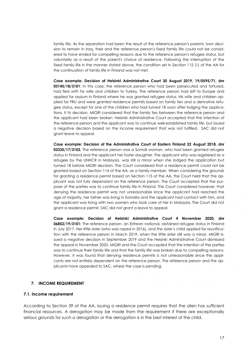family life. As the separation had been the result of the reference person's parents 'own decision to remain in Iraq, their and the reference person's fixed family life could not be considered to have ended for compelling reasons due to the reference person's refugee status, but voluntarily as a result of the parent's choice of residence. Following the interruption of the fixed family life in the manner stated above, the condition set in Section 115 (1) of the AA for the continuation of family life in Finland was not met.

**Case example: Decision of Helsinki Administrative Court 30 August 2019, 19/0595/71, dnr 03145/18/3101**: In this case, the reference person who had been persecuted and tortured, had fled with his wife and children to Turkey. The reference person had left to Europe and applied for asylum in Finland where he was granted refugee status. His wife and children applied for FRU and were granted residence permits based on family ties and a derivative refugee status, except for one of the children who had turned 18 soon after lodging the applications. It its decision, MIGRI considered that the family ties between the reference person and the applicant had been broken. Helsinki Administrative Court accepted that the intention of the reference person and the applicant was to continue well-established family life, but issued a negative decision based on the income requirement that was not fulfilled. SAC did not grant leave to appeal.

**Case example: Decision of the Administrative Court of Eastern Finland 22 August 2018, dnr 03335/17/3102.** The reference person was a Somali woman, who had been granted refugee status in Finland and the applicant her foster daughter. The applicant who was registered as a refugee by the UNHCR in Malaysia, was still a minor when she lodged the application but turned 18 before MIGRI decision. The Court considered that a residence permit could not be granted based on Section 114 of the AA, as a family member. When considering the grounds for granting a residence permit based on Section 115 of the AA, the Court held that the applicant was not fully dependant on the reference person. The Court accepted that the purpose of the parties was to continue family life in Finland. The Court considered however, that denying the residence permit was not unreasonable since the applicant had reached the age of majority, her father was living in Somalia and the applicant had contact with him, and the applicant was living with two women who took care of her in Malaysia. The Court did not grant a residence permit. SAC did not grant a leave to appeal.

**Case example: Decision of Helsinki Administrative Court 4 November 2020, dnr 06852/19/3101:** The reference person, an Eritrean national, obtained refugee status in Finland in July 2017. Her little sister (who was raped in 2016), and the sister's child applied for reunification with the reference person in March 2019, when the little sister still was a minor. MIGRI issued a negative decision in September 2019 and the Helsinki Administrative Court dismissed the appeal in November 2020. MIGRI and the Court accepted that the intention of the parties was to continue their family life and that the family life was broken due to compelling reasons. However, it was found that denying residence permits is not unreasonable since the applicants are not entirely dependent on the reference person. The reference person and the applicants have appealed to SAC, where the case is pending.

#### <span id="page-16-0"></span>**7. INCOME REQUIREMENT**

#### <span id="page-16-1"></span>**7.1. Income requirement**

According to Section 39 of the AA, issuing a residence permit requires that the alien has sufficient financial resources. A derogation may be made from the requirement if there are exceptionally serious grounds for such a derogation or the derogation is in the best interest of the child.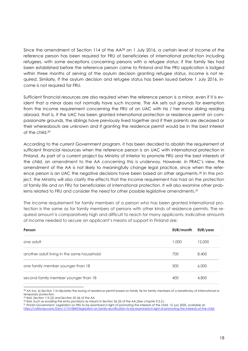Since the amendment of Section 114 of the AA<sup>28</sup> on 1 July 2016, a certain level of income of the reference person has been required for FRU of beneficiaries of international protection including refugees, with some exceptions concerning persons with a refugee status: if the family ties had been established before the reference person came to Finland and the FRU application is lodged within three months of serving of the asylum decision granting refugee status, income is not required. Similarly, if the asylum decision and refugee status has been issued before 1 July 2016, income is not required for FRU.

Sufficient financial resources are also required when the reference person is a minor, even if it is evident that a minor does not normally have such income. The AA sets out grounds for exemption from the income requirement concerning the FRU of an UAC with his / her minor sibling residing abroad, that is, if the UAC has been granted international protection or residence permit on compassionate grounds, the siblings have previously lived together and if their parents are deceased or their whereabouts are unknown and if granting the residence permit would be in the best interest of the child.<sup>29</sup>

According to the current Government program, it has been decided to abolish the requirement of sufficient financial resources when the reference person is an UAC with international protection in Finland. As part of a current project by Ministry of Interior to promote FRU and the best interests of the child, an amendment to the AA concerning this is underway. However, in FRAC's view, the amendment of the AA is not likely to meaningfully change legal practice, since when the reference person is an UAC the negative decisions have been based on other arguments. <sup>30</sup> In the project, the Ministry will also clarify the effects that the income requirement has had on the protection of family life and on FRU for beneficiaries of international protection. It will also examine other problems related to FRU and consider the need for other possible legislative amendments. 31

The income requirement for family members of a person who has been granted international protection is the same as for family members of persons with other kinds of residence permits. The required amount is comparatively high and difficult to reach for many applicants. Indicative amounts of income needed to secure an applicant's means of support in Finland are:

| Person                                     | EUR/month | EUR/year |
|--------------------------------------------|-----------|----------|
| one adult                                  | 1,000     | 12,000   |
| another adult living in the same household | 700       | 8,400    |
| one family member younger than 18          | 500       | 6,000    |
| second family member younger than 18       | 400       | 4,800    |

-<sup>28</sup> AA (no. 6) Section 114 stipulates the issuing of residence permit based on family tie for family members of a beneficiary of international or temporary protection.

<sup>31</sup> Finnish Government, Legislation on FRU to be examined in light of promoting the interests of the child, 15 July 2020, available at:<br>https://valtioneuvosto.fi/en/-//1410869/legislation-on-family-reunification-to-be-exa [https://valtioneuvosto.fi/en/-//1410869/legislation-on-family-reunification-to-be-examined-in-light-of-promoting-the-interests-of-the-child.](https://valtioneuvosto.fi/en/-/1410869/legislation-on-family-reunification-to-be-examined-in-light-of-promoting-the-interests-of-the-child) 

<sup>29</sup> Ibid. Section 115 (2) and Section 52 (4) of the AA

<sup>30</sup> Ibid. Such as evading the entry provisions as meant in Section 36 (2) of the AA*.(See chapter 9.2.3.)*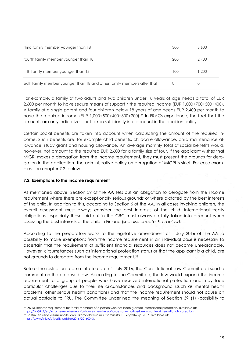| third family member younger than 18                                     | 300 | 3,600 |
|-------------------------------------------------------------------------|-----|-------|
| fourth family member younger than 18                                    | 200 | 2.400 |
| fifth family member younger than 18                                     | 100 | 1.200 |
| sixth family member younger than 18 and other family members after that |     |       |

For example, a family of two adults and two children under 18 years of age needs a total of EUR 2,600 per month to have secure means of support / the required income (EUR 1,000+700+500+400). A family of a single parent and four children below 18 years of age needs EUR 2,400 per month to have the required income (EUR 1,000+500+400+300+200).<sup>32</sup> In FRACs experience, the fact that the amounts are only indicative is not taken sufficiently into account in the decision policy.

Certain social benefits are taken into account when calculating the amount of the required income. Such benefits are, for example child benefits, childcare allowance, child maintenance allowance, study grant and housing allowance. An average monthly total of social benefits would, however, not amount to the required EUR 2,600 for a family size of four. If the applicant wishes that MIGRI makes a derogation from the income requirement, they must present the grounds for derogation in the application. The administrative policy on derogation of MIGRI is strict. For case examples, see chapter 7.2. below.

## <span id="page-18-0"></span>**7.2. Exemptions to the income requirement**

-

As mentioned above, Section 39 of the AA sets out an obligation to derogate from the income requirement where there are exceptionally serious grounds or where dictated by the best interests of the child. In addition to this, according to Section 6 of the AA, in all cases involving children, the overall assessment must always consider the best interests of the child. International treaty obligations, especially those laid out in the CRC must always be fully taken into account when assessing the best interests of the child in Finland (see *also chapter 9.1. below).*

According to the preparatory works to the legislative amendment of 1 July 2016 of the AA, a possibility to make exemptions from the income requirement in an individual case is necessary to ascertain that the requirement of sufficient financial resources does not become unreasonable. However, circumstances such as international protection status or that the applicant is a child, are not grounds to derogate from the income requirement*. 33*

Before the restrictions came into force on 1 July 2016, the Constitutional Law Committee issued a comment on the proposed law. According to the Committee, the law would expand the income requirement to a group of people who have received international protection and may face particular challenges due to their life circumstances and background (such as mental health problems, other serious health conditions) and that the income requirement should not cause an actual obstacle to FRU. The Committee underlined the meaning of Section 39 (1) (possibility to

<sup>32</sup> MIGRI, Income requirement for family members of a person who has been granted international protection, available at: [https://MIGRI.fi/en/income-requirement-for-family-members-of-a-person-who-has-been-granted-international-protection.](https://migri.fi/en/income-requirement-for-family-members-of-a-person-who-has-been-granted-international-protection)   $33$  Hallituksen esitys eduskunnalle laiksi ulkomaalaislain muuttamisesta, HE 43/2016 vp, 2016, available at: [https://www.finlex.fi/fi/esitykset/he/2016/20160043.](https://www.finlex.fi/fi/esitykset/he/2016/20160043)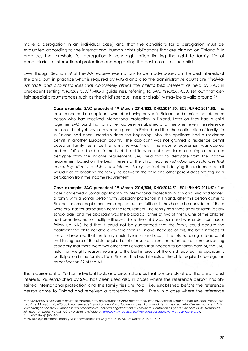make a derogation in an individual case) and that the conditions for a derogation must be evaluated according to the international human rights obligations that are binding on Finland.<sup>34</sup> In practice, the threshold for derogation is very high, often limiting the right to family life of beneficiaries of international protection and neglecting the best interest of the child.

Even though Section 39 of the AA requires exemptions to be made based on the best interests of the child but, in practice what is required by MIGRI and also the administrative courts are "*individual facts and circumstances that concretely affect the child's best interest"* as held by SAC in precedent setting *KHO:2014:50*. <sup>35</sup> MIGRI guidelines, referring to SAC *KHO:2014:50*, set out that certain special circumstances such as the child's serious illness or disability may be a valid ground.<sup>36</sup>

> **Case example. SAC precedent 19 March 2014/803, KHO:2014:50, ECLI:FI:KHO:2014:50:** The case concerned an applicant, who after having arrived in Finland, had married the reference person who had received international protection in Finland. Later on they had a child together. SAC found that family life had been established at a time when even the reference person did not yet have a residence permit in Finland and that the continuation of family life in Finland had been uncertain since the beginning. Also, the applicant had a residence permit in another European country. The applicant was not granted a residence permit based on family ties, since the family tie was "new". The income requirement was applied and not fulfilled. The best interests of the child were not considered as being a reason to derogate from the income requirement. SAC held that to derogate from the income requirement based on the best interests of the child requires *individual circumstances that concretely affect the child's best interest.* Solely the fact that denying the residence permit would lead to breaking the family life between the child and other parent does not require a derogation from the income requirement.

> **Case example: SAC precedent 19 March 2014/804, KHO:2014:51, ECLI:FI:KHO:2014:51:** The case concerned a Somali applicant with international protection in Italy and who had formed a family with a Somali person with subsidiary protection in Finland, after this person came to Finland. Income requirement was applied but not fulfilled. It thus had to be considered if there were grounds for derogation from the requirement. The family had three small children (below school age) and the applicant was the biological father of two of them. One of the children had been treated for multiple illnesses since the child was born and was under continuous follow up. SAC held that it could not be guaranteed that the family could acquire the treatment the child needed elsewhere than in Finland. Because of this, the best interests of the child required that the family could live in Finland also in the future. Taking into account that taking care of the child required a lot of resources from the reference person considering especially that there were two other small children that needed to be taken care of, the SAC held that weighty reasons relating to the best interests of the child required the applicant's participation in the family's life in Finland. The best interests of the child required a derogation as per Section 39 of the AA.

The requirement of "other individual facts and circumstances that concretely affect the child's best interests" as established by SAC has been used also in cases where the reference person has obtained international protection and the family ties are "old", i.e. established before the reference person came to Finland and received a protection permit. Even in a case where the reference

-

<sup>34</sup> *"Perustuslakivaliokunnan mielestä on tärkeää, ettei poikkeamisen kynnys muodostu tulkintakäytännössä kohtuuttoman korkeaksi. Valiokunta korostthe AA myös sitä, että poikkeamisen edeIlytyksiä on arvioitava Suomea sitovien kansainvälisten ihmisoikeusvelvoitteiden mukaisesti. Näin ymmärrettynä sääntely ei muodostu valtiosääntöoikeudellisesti ongelmalliseksi." Valiokunta, Hallituksen esitys eduskunnalle laiksi ulkomaalaislain muuttamisesta, PeVL 27/2016 vp, 2016, available at: [https://www.eduskunta.fi/FI/vaski/Lausunto/Sivut/PeVL\\_27+2016.aspx.](https://www.eduskunta.fi/FI/vaski/Lausunto/Sivut/PeVL_27+2016.aspx)*  <sup>35</sup> HE 43/2016 vp (no. 32).

<sup>36</sup> MIGRI, Ohje toimeentuloedellytyksen soveltamisesta, MigDno -2018-330, 27 March 2018 p. 15-16.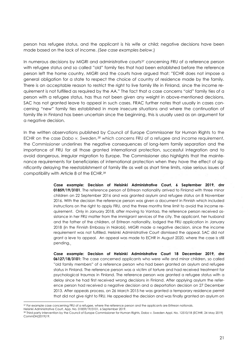person has refugee status, and the applicant is his wife or child; negative decisions have been made based on the lack of income. *(See case examples below*.)

In numerous decisions by MIGRI and administrative courts<sup>37</sup> concerning FRU of a reference person with refugee status and so called "old" family ties that had been established before the reference person left the home country, MIGRI and the courts have argued that: "ECHR does not impose a general obligation for a state to respect the choice of country of residence made by the family. There is an acceptable reason to restrict the right to live family life in Finland, since the income requirement is not fulfilled as required by the AA." The fact that a case concerns "old" family ties of a person with a refugee status, has thus not been given any weight in above-mentioned decisions. SAC has not granted leave to appeal in such cases. FRAC further notes that usually in cases concerning "new" family ties established in more insecure situations and where the continuation of family life in Finland has been uncertain since the beginning, this is usually used as an argument for a negative decision.

In the written observations published by Council of Europe Commissoner for Human Rights to the ECHR on the case *Dabo v. Sweden,<sup>38</sup>* which concerns FRU of a refugee and income requirement, the Commissioner underlines the negative consequences of long-term family separation and the importance of FRU for all those granted international protection, successful integration and to avoid dangerous, irregular migration to Europe. The Commissioner also highlights that the maintenance requirements for beneficiaries of international protection when they have the effect of significantly delaying the reestablishment of family life as well as short time limits, raise serious issues of compatibility with Article 8 of the ECHR. 39

> **Case example: Decision of Helsinki Administrative Court, 6 September 2019, dnr 01859/19/3101**. The reference person of Eritrean nationality arrived to Finland with three minor children on 22 September 2016 and was granted asylum and refugee status on 8 November 2016. With the decision the reference person was given a document in Finnish which included instructions on the right to apply FRU, and the three months time limit to avoid the income requirement. Only in January 2018, after moving to Vantaa, the reference person received assistance in her FRU matter from the immigrant services of the city. The applicant, her husband and the father of the children, of Eritrean nationality, lodged the FRU application in January 2018 (in the Finnish Embassy in Nairobi). MIGRI made a negative decision, since the income requirement was not fulfilled. Helsinki Administrative Court dismissed the appeal. SAC did not grant a leve to appeal. An appeal was made to ECHR in August 2020, where the case is still pending.

> **Case example: Decision of Helsinki Administrative Court 18 December 2019, dnr 06127/18/3101:** The case concerned applicants who were wife and minor children, so called "old family members" of a reference person who had been granted an asylum and refugee status in Finland. The reference person was a victim of torture and had received treatment for psychological traumas in Finland. The reference person was granted a refugee status with a delay since he had first received wrong decisions in Finland. After applying asylum the reference person had received a negative decision and a deportation decision on 27 December 2013. After appeals process, on 26 March 2015 he was granted a temporary residence permit that did not give right to FRU. He appealed the decision and was finally granted an asylum on

<sup>-</sup>37 For example case concerning FRU of a refugee, where the reference person and the applicants are Eritrean nationals.

Helsinki Administrative Court, App. No. 01859/19/3101, 6 September 2019.

<sup>38</sup> Third party intervention by the Council of Europe Commissioner for Human Rights, Dabo v. Sweden Appl. No. 12510/18 (ECtHR, 24 May 2019) CommDH(2019)19.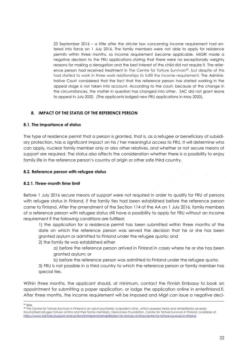23 September 2016 – a little after the stricter law concerning income requirement had entered into force on 1 July 2016. The family members were not able to apply for residence permits within three months, so income requirement became applicable. MIGRI made a negative decision to the FRU applications stating that there were no exceptionally weighty reasons for making a derogation and the best interest of the child did not require it. The reference person had received treatment in The Centre for Torture Survivors<sup>40</sup>, but despite of this had started to work in three work relationships to fulfill the income requirement. The Administrative Court considered that the fact that the reference person has started working in the appeal stage is not taken into account. According to the court, because of the change in the circumstances, the matter in question has changed into other**.** SAC did not grant leave to appeal in July 2020. (The applicants lodged new FRU applications in May 2020).

## <span id="page-21-0"></span>**8. IMPACT OF THE STATUS OF THE REFERENCE PERSON**

#### <span id="page-21-1"></span>**8.1. The importance of status**

The type of residence permit that a person is granted, that is, as a refugee or beneficiary of subsidiary protection, has a significant impact on his / her meaningful access to FRU. It will determine who can apply, nuclear family member only or also other relatives, and whether or not secure means of support are required. The status also affects the consideration whether there is a possibility to enjoy family life in the reference person's country of origin or other safe third country.

#### <span id="page-21-2"></span>**8.2. Reference person with refugee status**

## **8.2.1. Three-month time limit**

Before 1 July 2016 secure means of support were not required in order to qualify for FRU of persons with refugee status in Finland, if the family ties had been established before the reference person came to Finland. After the amendment of the Section 114 of the AA on 1 July 2016, family members of a reference person with refugee status still have a possibility to apply for FRU without an income requirement if the following conditions are fulfilled:

1) the application for a residence permit has been submitted within three months of the date on which the reference person was served the decision that he or she has been granted asylum or admitted to Finland under the refugee quota; and

2) the family tie was established either

a) before the reference person arrived in Finland in cases where he or she has been granted asylum; or

b) before the reference person was admitted to Finland under the refugee quota.

3) FRU is not possible in a third country to which the reference person or family member has special ties.

Within three months, the applicant should, at minimum, contact the Finnish Embassy to book an appointment for submitting a paper application, or lodge the application online in enterfinland.fi. After three months, the income requirement will be imposed and Migri can issue a negative deci-

 $\overline{a}$ <sup>39</sup> Ibid.

<sup>40</sup> The Centre for Torture Survivors in Finland is an adult psychiatric outpatient clinic, which assesses treats and rehabilitates severely traumatised refugee torture victims and their family members. Deaconess Foundation, Centre for Torture Survivors in Finland, available at: https://www.hdl.fi/en/support-and-action/immigrants/rehabilitation-for-torture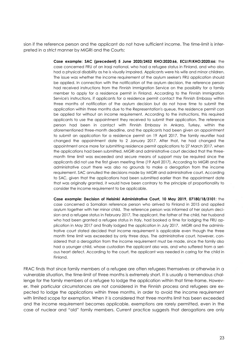sion if the reference person and the applicant do not have sufficient income. The time-limit is interpreted in a strict manner by MIGRI and the Courts:

> **Case example: SAC (precedent) 5 June 2020/2452 KHO:2020:66, ECLI:FI:KHO:2020:66:** the case concerned FRU of an Iraqi national, who had a refugee status in Finland, and who also had a physical disability as he is visually impaired. Applicants were his wife and minor children. The issue was whether the income requirement of the asylum seeker's FRU application should be applied. In connection with the notification of the asylum decision, the reference person had received instructions from the Finnish Immigration Service on the possibility for a family member to apply for a residence permit in Finland. According to the Finnish Immigration Service's instructions, if applicants for a residence permit contact the Finnish Embassy within three months of notification of the asylum decision but do not have time to submit the application within three months due to the Representation's queue, the residence permit can be applied for without an income requirement. According to the instructions, this required applicants to use the appointment they received to submit their application. The reference person had been in contact with Finnish Embassy in Ankara, Turkey, within the aforementioned three-month deadline, and the applicants had been given an appointment to submit an application for a residence permit on 19 April 2017. The family reunifier had changed the appointment date to 2 January 2017. After that, he had changed the appointment once more for submitting residence permit applications to 27 March 2017, when the applications had been submitted. MIGRI and administrative court decided that the threemonth time limit was exceeded and secure means of support may be required since the applicants did not use the first given meeting time (19 April 2017). According to MIGRI and the administrative court there was also no grounds to make a derogation from the income requirement. SAC annulled the decisions made by MIGRI and administrative court. According to SAC, given that the applications had been submitted earlier than the appointment date that was originally granted, it would have been contrary to the principle of proportionality to consider the income requirement to be applicable.

> **Case example: Decision of Helsinki Administrative Court, 10 May 2019, 07180/18/3101**: the case concerned a Somalian reference person who arrived to Finland in 2015 and applied asylum together with her minor child. The reference person was informed of her asylum decision and a refugee status in February 2017. The applicant, the father of the child, her husband who had been granted a refugee status in Italy, had booked a time for lodging the FRU application in May 2017 and finally lodged the application in July 2017. MIGRI and the administrative court stated decided that income requirement is applicable even though the three month time limit was exceeded by only three days. The administrative court, however, considered that a derogation from the income requirement must be made, since the family also had a younger child, whose custodian the applicant also was, and who suffered from a serious heart defect. According to the court, the applicant was needed in caring for the child in Finland.

FRAC finds that since family members of a refugee are often refugees themselves or otherwise in a vulnerable situation, the time-limit of three months is extremely short. It is usually a tremendous challenge for the family members of a refugee to lodge the application within that time-frame. However, their particular circumstances are not considered in the Finnish process and refugees are expected to lodge the applications within three months, in order to avoid the income requirement with limited scope for exemption. When it is considered that three months limit has been exceeded and the income requirement becomes applicable, exemptions are rarely permitted, even in the case of nuclear and "old" family members. Current practice suggests that derogations are only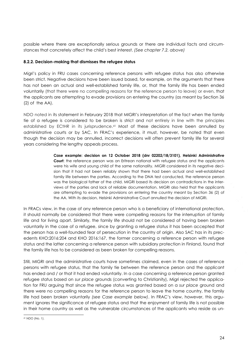possible where there are exceptionally serious grounds or there are individual facts and circumstances that concretely affect the child's best interest. *(See chapter 7.2. above)*

## **8.2.2. Decision-making that dismisses the refugee status**

Migri's policy in FRU cases concerning reference persons with refugee status has also otherwise been strict. Negative decisions have been issued based, for example, on the arguments that there has not been an actual and well-established family life, or, that the family life has been ended voluntarily (that there were no compelling reasons for the reference person to leave) or even, that the applicants are attempting to evade provisions on entering the country (as meant by Section 36 (2) of the AA).

NDO noted in its statement in February 2018 that MIGRI's interpretation of the fact when the family tie of a refugee is considered to be broken is strict and not entirely in line with the principles established by ECtHR in its jurisprudence.<sup>41</sup> Most of these decisions have been annulled by administrative courts or by SAC. In FRAC's experience, it must, however, be noted that even though the decision may be annulled, incorrect decisions will often prevent family life for several years considering the lengthy appeals process.

> **Case example: decision on 12 October 2018 (dnr 02202/18/3101), Helsinki Administrative Court**: the reference person was an Eritrean national with refugee status and the applicants were his wife and young child of the same nationality. MIGRI considered in its negative decision that it had not been reliably shown that there had been actual and well-established family life between the parties. According to the DNA test conducted, the reference person was the biological father of the child. MIGRI based its decision on contradictions in the interviews of the parties and lack of reliable documentation. MIGRI also held that the applicants are attempting to evade the provisions on entering the country meant by Section 36 (2) of the AA. With its decision, Helsinki Administrative Court annulled the decision of MIGRI.

In FRACs view, in the case of any reference person who is a beneficiary of international protection, it should normally be considered that there were compelling reasons for the interruption of family life and for living apart. Similarly, the family life should not be considered of having been broken voluntarily in the case of a refugee, since by granting a refugee status it has been accepted that the person has a well-founded fear of persecution in the country of origin. Also SAC has in its precedents KHO:2016:204 and KHO 2016:167, the former concerning a reference person with refugee status and the latter concerning a reference person with subsidiary protection in Finland, found that the family life has to be considered as been broken for compelling reasons.

Still, MIGRI and the administrative courts have sometimes claimed, even in the cases of reference persons with refugee status, that the family tie between the reference person and the applicant has ended and / or that it had ended voluntarily. In a case concerning a reference person granted refugee status based on *sur place* grounds (converting to Christianity), Migri rejected the application for FRU arguing that since the refugee status was granted based on a *sur place* ground and there were no compelling reasons for the reference person to leave the home country, the family life had been broken voluntarily *(see Case example below)*. In FRAC's view, however, this argument ignores the significance of refugee status and that the enjoyment of family life is not possible in their home country as well as the vulnerable circumstances of the applicants who reside as un-

<sup>-</sup><sup>41</sup> NDO (No. 1).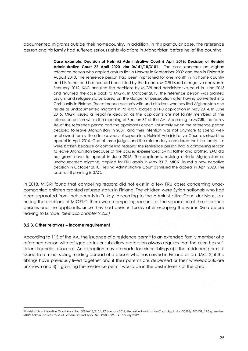documented migrants outside their homecountry. In addition, in this particular case, the reference person and his family had suffered serious rights violations in Afghanistan before he lef the country:

> **Case example: Decision of Helsinki Administrative Court 6 April 2016; Decision of Helsinki Administrative Court 22 April 2020, dnr 06141/18/3101.** The case concerns an Afghan reference person who applied asylum first in Norway in September 2009 and then in Finland in August 2010. The reference person had been imprisoned for one month in his home country and his father and brother had been killed by the Taliban. MIGRI issued a negative decision in February 2012. SAC annulled the decisions by MIGRI and administrative court in June 2013 and returned the case back to MIGRI. In October 2013, the reference person was granted asylum and refugee status based on the danger of persecution after having converted into Christianity in Finland. The reference person's wife and children, who has fled Afghanistan and reside as undocumented migrants in Pakistan, lodged a FRU application in May 2014. In June 2015, MIGRI issued a negative decision as the applicants are not family members of the reference person within the meaning of Section 37 of the AA. According to MIGRI, the family life of the reference person and the applicants ended voluntarily when the reference person decided to leave Afghanistan in 2009, and their intention was not anymore to spend wellestablished family life after six years of separation. Helsinki Administrative Court dismissed the appeal in April 2016. One of three judges and the referendary considered that the family ties were broken because of compelling reasons: the reference person had a compelling reason to leave Afghanistan because of the abuses experienced by his father and brother. SAC did not grant leave to appeal in June 2016. The applicants, residing outside Afghanistan as undocumented migrants, applied for FRU again in May 2017. MIGRI issued a new negative decision in October 2018. Helsinki Administrative Court dismissed the appeal in April 2020. The case is still pending in SAC.

In 2018, MIGRI found that compelling reasons did not exist in a few FRU cases concerning unaccompanied children granted refugee status in Finland. The children were Syrian nationals who had been separated from their parents in Turkey. According to the Administrative Court decisions, annulling the decisions of MIGRI,<sup>42</sup> there were compelling reasons for the separation of the reference persons and the applicants, since they had been in Turkey after escaping the war in Syria before leaving to Europe. *(See also chapter 9.2.3.)*

## **8.2.3. Other relatives – income requirement**

According to 115 of the AA, the issuance of a residence permit to an extended family member of a reference person with refugee status or subsidiary protection always requires that the alien has sufficient financial resources. An exception may be made for minor siblings a) if the residence permit is issued to a minor sibling residing abroad of a person who has arrived in Finland as an UAC, 2) if the siblings have previously lived together and if their parents are deceased or their whereabouts are unknown and 3) if granting the residence permit would be in the best interests of the child.

<sup>-</sup><sup>42</sup> Helsinki Administrative Court Appl. No. 00846/18/3101, 17 January 2019; Helsinki Administrative Court Appl. No. 00583/18/3101, 12 September 2018; Administrative Court of Eastern Finland Appl. No. 19/0053/5, 14 January 2019.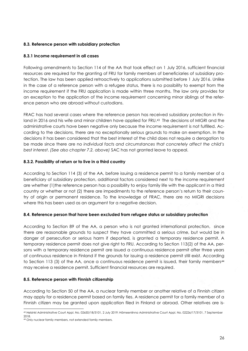## <span id="page-25-0"></span>**8.3. Reference person with subsidiary protection**

## **8.3.1 Income requirement in all cases**

Following amendments to Section 114 of the AA that took effect on 1 July 2016, sufficient financial resources are required for the granting of FRU for family members of beneficiaries of subsidiary protection. The law has been applied retroactively to applications submitted before 1 July 2016. Unlike in the case of a reference person with a refugee status, there is no possibility to exempt from the income requirement if the FRU application is made within three months, The law only provides for an exception to the application of the income requirement concerning minor siblings of the reference person who are abroad without custodians.

FRAC has had several cases where the reference person has received subsidiary protection in Finland in 2016 and his wife and minor children have applied for FRU. <sup>43</sup> The decisions of MIGRI and the administrative courts have been negative only because the income requirement is not fulfilled. According to the decisions, there are no exceptionally serious grounds to make an exemption. In the decisions it has been considered that the best interest of the child does not require a derogation to be made since there are no *individual facts and circumstances that concretely affect the child's best interest*. *(See also chapter 7.2. above)* SAC has not granted leave to appeal.

## **8.3.2. Possibility of return or to live in a third country**

According to Section 114 (3) of the AA, before issuing a residence permit to a family member of a beneficiary of subsidiary protection, additional factors considered next to the income requirement are whether (1)the reference person has a possibility to enjoy family life with the applicant in a third country or whether or not (2) there are impediments to the reference person's return to their country of origin or permanent residence. To the knowledge of FRAC, there are no MIGRI decisions where this has been used as an argument for a negative decision.

## <span id="page-25-1"></span>**8.4. Reference person that have been excluded from refugee status or subsidiary protection**

According to Section 89 of the AA, a person who is not granted international protection, since there are reasonable grounds to suspect they have committed a serious crime, but would be in danger of persecution or serious harm if deported, is granted a temporary residence permit. A temporary residence permit does not give right to FRU. According to Section 113(2) of the AA, persons with a temporary residence permit are issued a continuous residence permit after three years of continuous residence in Finland if the grounds for issuing a residence permit still exist. According to Section 113 (3) of the AA, once a continuous residence permit is issued, their family members<sup>44</sup> may receive a residence permit. Sufficient financial resources are required.

## <span id="page-25-2"></span>**8.5. Reference person with Finnish citizenship**

According to Section 50 of the AA, a nuclear family member or another relative of a Finnish citizen may apply for a residence permit based on family ties. A residence permit for a family member of a Finnish citizen may be granted upon application filed in Finland or abroad. Other relatives are is-

<sup>-</sup><sup>43</sup> Helsinki Administrative Court Appl. No. 02650/18/3101, 2 July 2019; Hämeenlinna Administrative Court Appl. No. 02226/17/3101, 7 September 2018.

<sup>44</sup> Only nuclear family members, not extended family members.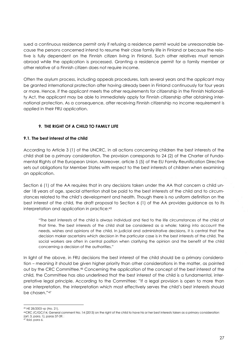sued a continuous residence permit only if refusing a residence permit would be unreasonable because the persons concerned intend to resume their close family life in Finland or because the relative is fully dependent on the Finnish citizen living in Finland. Such other relatives must remain abroad while the application is processed. Granting a residence permit for a family member or other relative of a Finnish citizen does not require income.

Often the asylum process, including appeals procedures, lasts several years and the applicant may be granted international protection after having already been in Finland continuously for four years or more. Hence, if the applicant meets the other requirements for citizenship in the Finnish Nationality Act, the applicant may be able to immediately apply for Finnish citizenship after obtaining international protection. As a consequence, after receiving Finnish citizenship no income requirement is applied in their FRU application.

## **9. THE RIGHT OF A CHILD TO FAMILY LIFE**

## <span id="page-26-1"></span><span id="page-26-0"></span>**9.1. The best interest of the child**

According to Article 3 (1) of the UNCRC, in all actions concerning children the best interests of the child shall be a *primary* consideration. The provision corresponds to 24 (2) of the Charter of Fundamental Rights of the European Union. Moreover, article 5 (5) of the EU Family Reunification Directive sets out obligations for Member States with respect to the best interests of children when examining an application.

Section 6 (1) of the AA requires that in any decisions taken under the AA that concern a child under 18 years of age, special attention shall be paid to the best interests of the child and to circumstances related to the child's development and health*.* Though there is no uniform definition on the best interest of the child, the draft proposal to Section 6 (1) of the AA provides guidance as to its interpretation and application in practice:<sup>45</sup>

"The best interests of the child is always individual and tied to the life circumstances of the child at that time. The best interests of the child shall be considered as a whole; taking into account the needs, wishes and opinions of the child. In judicial and administrative decisions, it is central that the decision maker ascertains which decision in the particular case is in the best interests of the child. The social workers are often in central position when clarifying the opinion and the benefit of the child concerning a decision of the authorities."

In light of the above, in FRU decisions the best interest of the child should be a primary consideration – meaning it should be given higher priority than other considerations in the matter, as pointed out by the CRC Committee. <sup>46</sup> Concerning the application of the concept of the best interest of the child, the Committee has also underlined that the best interest of the child is a fundamental, interpretative legal principle. According to the Committee: "If a legal provision is open to more than one interpretation, the interpretation which most effectively serves the child's best interests should be chosen."<sup>47</sup>

<sup>-</sup><sup>45</sup> HE 28/2003 vp (No. 21).

<sup>46</sup>CRC /C/GC/14, General comment No. 14 (2013) on the right of the child to have his or her best interests taken as a primary consideration (art. 3, para. 1), paras 37-39.

<sup>47</sup> Ibid, para 6.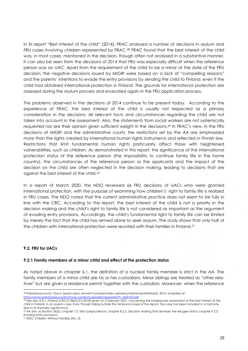In its report "Best interest of the child" (2014), FRAC analysed a number of decisions in asylum and FRU cases involving children represented by FRAC.<sup>48</sup> FRAC found that the best interest of the child was, in most cases, mentioned in the decision, though often not analysed in a substantive manner. It can also be seen from the decisions of 2014 that FRU was especially difficult when the reference person was an UAC. Apart from the requirement of the child to be a minor at the date of the FRU decision, the negative decisions issued by MIGRI were based on a lack of "compelling reasons" and the parents' intentions to evade the entry provisions by sending the child to Finland, even if the child had obtained international protection in Finland. The grounds for international protection are assessed during the asylum process and evaluated again in the FRU application process.

The problems observed in the decisions of 2014 continue to be present today. According to the experience of FRAC, the best interest of the child is usually not respected as a primary consideration in the decisions. All relevant facts and circumstances regarding the child are not taken into account in the assessment*.* Also, the statements from social workers are not systemically requested nor are their opinion given sufficient weight in the decisions.<sup>49</sup> In FRAC's view, in the FRU decisions of MIGRI and the administrative courts, the restrictions set by the AA are emphasized more than the rights created by international human rights instruments and reflected in Finnish law. Restrictions that limit fundamental human rights particularly affect those with heightened vulnerabilities, such as children. As demonstrated in this report, the significance of the international protection status of the reference person (the impossibility to continue family life in the home country), the circumstances of the reference person or the applicants and the impact of the decision on the child are often neglected in the decision making, leading to decisions that are against the best interest of the child.<sup>50</sup>

In a report of March 2020, the NDO reviewed 66 FRU decisions of UACs who were granted international protection, with the purpose of examining how children's' right to family life is realized in FRU cases. The NDO noted that the current administrative practice does not seem to be fully in line with the CRC. According to the report, the best interest of the child is not a priority in the decision making and the child's right to family life is not considered as important as the argument of evading entry provisions, Accordingly, the child's fundamental right to family life can be limited by merely the fact that the child has arrived alone to seek asylum. The study shows that only half of the children with international protection were reunited with their families in Finland.<sup>51</sup>

## <span id="page-27-0"></span>**9.2. FRU for UACs**

 $\overline{a}$ 

#### <span id="page-27-1"></span>**9.2.1 Family members of a minor child and effect of the protection status**

As noted above in chapter 6.1, the definition of a nuclear family member is strict in the AA. The family members of a minor child are his or her custodians. Minor siblings are treated as "other relatives" but are given a residence permit together with the custodian. Moreover, when the reference

 $50$  AA (No. 6) Section 36(2); chapter 7.2. Strict jurisprudence; chapter 8.2.2. Decision making that dismisses the refugee status; chapter 9.2.3. Evading entry provisions.

<sup>48</sup> Pakolaisneuvonta, Osa II, lapsen edun arviointi tuomioistuinten perheenyhdistämispäätöksissä, 2014, available at:

[https://www.pakolaisneuvonta.fi//wp-content/uploads/LapsenetuPY-160315F.pdf.](https://www.pakolaisneuvonta.fi/wp-content/uploads/LapsenetuPY-160315F.pdf) 

<sup>49</sup> See also A.B v. Finland (CRC/C/86/D/51/2018) given on 5 February 2021, concerning the inadequate assessment of the best interest of the child in Finland, in an asylum case. Even though falling outside the temporal scope of the report, the case has been included in a footnote due to its thematic significance.

<sup>51</sup> NDO, Children Without Families (No. 2).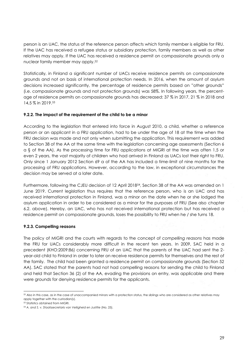person is an UAC, the status of the reference person affects which family member is eligible for FRU. If the UAC has received a refugee status or subsidiary protection, family members as well as other relatives may apply. If the UAC has received a residence permit on compassionate grounds only a nuclear family member may apply.<sup>52</sup>

Statistically, in Finland a significant number of UACs receive residence permits on compassionate grounds and not on basis of international protection needs. In 2016, when the amount of asylum decisions increased significantly, the percentage of residence permits based on "other grounds" (i.e. compassionate grounds and not protection grounds) was 58%. In following years, the percentage of residence permits on compassionate grounds has decreased: 37 % in 2017, 21 % in 2018 and 14,5 % in 2019.<sup>53</sup>

## <span id="page-28-0"></span>**9.2.2. The impact of the requirement of the child to be a minor**

According to the legislation that entered into force in August 2010, a child, whether a reference person or an applicant in a FRU application, had to be under the age of 18 at the time when the FRU decision was made and not only when submitting the application. This requirement was added to Section 38 of the AA at the same time with the legislation concerning age assessments (Section 6 a § of the AA). As the processing time for FRU applications at MIGRI at the time was often 1,5 or even 2 years, the vast majority of children who had arrived in Finland as UACs lost their right to FRU. Only since 1 January 2012 Section 69 a of the AA has included a time-limit of nine months for the processing of FRU applications. However, according to the law, in exceptional circumstances the decision may be served at a later date.

Furthermore, following the CJEU decision of 12 April 201854, Section 38 of the AA was amended on 1 June 2019. Current legislation thus requires that the reference person, who is an UAC and has received international protection in Finland, was a minor on the date when he or she lodged the asylum application in order to be considered as a minor for the purposes of FRU (See also chapter 6.2. above). Hereby, an UAC, who has not received international protection but has received a residence permit on compassionate grounds, loses the possibility to FRU when he / she turns 18.

## <span id="page-28-1"></span>**9.2.3. Compelling reasons**

The policy of MIGRI and the courts with regards to the concept of *compelling reasons* has made the FRU for UACs considerably more difficult in the recent ten years. In 2009, SAC held in a precedent (KHO:2009:86) concerning FRU of an UAC that the parents of the UAC had sent the 2 year-old child to Finland in order to later on receive residence permits for themselves and the rest of the family. The child had been granted a residence permit on compassionate grounds (Section 52 AA). SAC stated that the parents had not had compelling reasons for sending the child to Finland and held that Section 36 (2) of the AA, evading the provisions on entry, was applicable and there were grounds for denying residence permits for the applicants.

 $\overline{a}$  $52$  Also in this case, as in the case of unaccompanied minors with a protection status, the siblings who are considered as other relatives may apply together with the custodian(s).

<sup>53</sup> Statistics obtained from MIGRI.

<sup>54</sup> *A. and S. v. Staatssecretaris van Veiligheid en Justitie* (No. 25).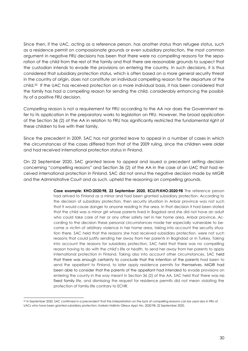Since then, if the UAC, acting as a reference person, has another status than refugee status, such as a residence permit on compassionate grounds or even subsidiary protection, the most common argument in negative FRU decisions has been that there were no *compelling reasons* for the separation of the child from the rest of the family and that there are reasonable grounds to suspect that the custodian intends to evade the provisions on entering the country. In such decisions, it is thus considered that subsidiary protection status, which is often based on a more general security threat in the country of origin, does not constitute an individual compelling reason for the departure of the child. <sup>55</sup> If the UAC has received protection on a more individual basis, it has been considered that the family has had a compelling reason for sending the child, considerably enhancing the possibility of a positive FRU decision.

*Compelling reason* is not a requirement for FRU according to the AA nor does the Government refer to its application in the preparatory works to legislation on FRU. However, the broad application of the Section 36 (2) of the AA in relation to FRU has significantly restricted the fundamental right of these children to live with their family.

Since the precedent in 2009, SAC has not granted leave to appeal in a number of cases in which the circumstances of the cases differed from that of the 2009 ruling, since the children were older and had received international protection status in Finland.

On 22 September 2020, SAC granted leave to appeal and issued a precedent setting decision concerning "compelling reasons" and Section 36 (2) of the AA in the case of an UAC that had received international protection in Finland. SAC did not annul the negative decision made by MIGRI and the Administrative Court and as such, upheld the reasoning on compelling grounds.

> **Case example: KHO:2020:98, 22 September 2020, ECLI:FI:KHO:2020:98** The reference person had arrived to Finland as a minor and had been granted subsidiary protection. According to the decision of subsidiary protection, then security situation in Anbar province was not such that it would cause danger to anyone residing in the area. In that decision it had been stated that the child was a minor girl whose parents lived in Bagdad and she did not have an adult who could take care of her or any other safety net in her home area, Anbar province. According to the decision these personal circumstances made her especially vulnerable to become a victim of arbitrary violence in her home area, taking into account the security situation there. SAC held that the reasons she had received subsidiary protection, were not such reasons that could justify sending her away from her parents in Baghdad or in Turkey. Taking into account the reasons for subsidiary protection, SAC held that there was no compelling reason having to do with the child's life or health, to send her away from her parents to apply international protection in Finland. Taking also into account other circumstances, SAC held that there was enough certainty to conclude that the intention of the parents had been to send the appellant to Finland, to later apply residence permits for themselves. MIGRI had been able to consider that the parents of the appellant had intended to evade provisions on entering the county in the way meant in Section 36 (2) of the AA. SAC held that there was no fixed family life, and dismissing the request for residence permits did not mean violating the protection of family life contrary to ECHR.

<sup>-</sup><sup>55</sup> In September 2020, SAC confirmed in a precendent that the interpretation on the lack of compelling reasons can be used also in FRU of UACs who have been granted subsidiary protection. Korkein Hallinto Oikeus Appl. No. 2020:98, 22 September 2020.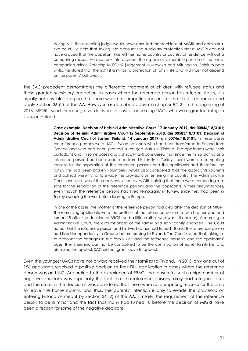Voting 6-1. The dissenting judge would have annulled the decisions of MIGRI and administrative court. He held that taking into account the subsidiary protection status, MIGRI can not have argued that the appellant has left her home country or country of residence without a compelling reason. He also took into account the especially vulnerable position of the unaccompanied minor. Referring to ECtHR judgement in Mayeka and Mitunga vs. Belgium para 84-85, he stated that the right if a minor to protection of family life and FRU must not depend on her parents' behaviour.

The SAC precedent demonstrates the differential treatment of children with refugee status and those granted subsidiary protection. In cases where the reference person has refugee status, it is usually not possible to argue that there were no compelling reasons for the child's departure and apply Section 36 (2) of the AA. However, as described above in chapter 8.2.2., in the beginning of 2018, MIGRI issued three negative decisions in cases concerning UACs who were granted refugee status in Finland:

> **Case example: Decision of Helsinki Administrative Court, 17 January 2019, dnr 00846/18/3101; Decision of Helsinki Administrative Court 12 September 2018, dnr 00583/18/3101; Decision of Administrative Court of Eastern Finland, 14 January 2019, dnr 00746/18/3101.** In these cases the reference persons were UACs, Syrian nationals who had been transferred to Finland from Greece and who had been granted a refugee status in Finland. The applicants were their custodians and, in some cases also siblings. MIGRI considered that since the minor acting as a reference person had been separated from his family in Turkey, there were no compelling reasons for the separation of the reference persons and the applicants and therefore the family life had been broken voluntarily. MIGRI also considered that the applicants (parents and siblings) were trying to evade the provisions on entering the country. The Administrative Courts annulled two of the decisions issued by MIGRI, holding that there were compelling reasons for the separation of the reference persons and the applicants in their circumstances, even though the reference persons had lived temporarily in Turkey, since they had been in Turkey escaping the war before leaving to Europe.

> In one of the cases, the mother of the reference person had died after the decision of MIGRI. The remaining applicants were the brothers of the reference person (a twin brother who had turned 18 after the decision of MIGRI and a little brother who was still a minor). According to Administrative Court, the circumstances of the family had significantly changed. The Court noted that the reference person and his twin brother had turned 18 and the reference person had lived independently in Greece before arriving to Finland. The Court stated that taking into account the changes in the family unit and the reference person's and the applicants' ages, their meaning can not be considered to be the continuation of earlier family life, and dismissed the appeal. SAC did not grant leave to appeal.

Even the youngest UACs have not always received their families to Finland. In 2013, only one out of 156 applicants received a positive decision to their FRU application in cases where the reference person was an UAC. According to the experience of FRAC, the reason for such a high number of negative decisions was especially the fact that the reference persons rarely had refugee status and therefore, in the decision it was considered that there were no *compelling reasons* for the child to leave the home country and thus, the parents' intention is only to evade the provisions on entering Finland as meant by Section 36 (2) of the AA. Similarly, the requirement of the reference person to be a minor and the fact that many had turned 18 before the decision of MIGRI have been a reason for some of the negative decisions.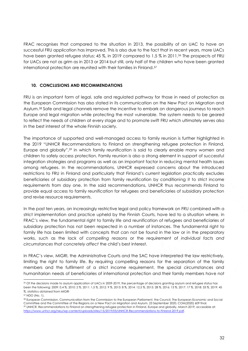FRAC recognises that compared to the situation in 2013, the possibility of an UAC to have an successful FRU application has improved. This is also due to the fact that in recent years, more UACs have been granted refugee status; 45 %, in 2019 compared to 1,5 % in 2011.<sup>56</sup> The prospects of FRU for UACs are not as grim as in 2013 or 2014 but still, only half of the children who have been granted international protection are reunited with their families in Finland.<sup>57</sup>

## <span id="page-31-0"></span>**10. CONCLUSIONS AND RECOMMENDATIONS**

FRU is an important form of legal, safe and regulated pathway for those in need of protection as the European Commission has also stated in its communication on the New Pact on Migration and Asylum.<sup>58</sup> Safe and legal channels remove the incentive to embark on dangerous journeys to reach Europe and legal migration while protecting the most vulnerable. The system needs to be geared to reflect the needs of children at every stage and to promote swift FRU which ultimately serves also in the best interest of the whole Finnish society.

The importance of supported and well-managed access to family reunion is further highlighted in the 2019 "UNHCR Recommendations to Finland on strengthening refugee protection in Finland, Europe and globally",<sup>59</sup> in which family reunification is said to clearly enable many women and children to safely access protection. Family reunion is also a strong element in support of successful integration strategies and programs as well as an important factor in reducing mental health issues among refugees. In the recommendations, UNHCR expressed concerns about the introduced restrictions to FRU in Finland and particularly that Finland's current legislation practically excludes beneficiaries of subsidiary protection from family reunification by conditioning it to strict income requirements from day one. In the said recommendations, UNHCR thus recommends Finland to provide equal access to family reunification for refugees and beneficiaries of subsidiary protection and revise resource requirements.

In the past ten years, an increasingly restrictive legal and policy framework on FRU combined with a strict implementation and practice upheld by the Finnish Courts, have led to a situation where, in FRAC's view, the fundamental right to family life and reunification of refugees and beneficiaries of subsidiary protection has not been respected in a number of instances. The fundamental right to family life has been limited with concepts that can not be found in the law or in the preparatory works, such as the lack of *compelling reasons* or the requirement of *individual facts and circumstances that concretely affect* the child's best interest.

In FRAC's view, MIGRI, the Administrative Courts and the SAC have interpreted the law restrictively, limiting the right to family life. By requiring compelling reasons for the separation of the family members and the fulfilment of a strict income requirement, the special circumstances and humanitarian needs of beneficiaries of international protection and their family members have not

1

<sup>56</sup> Of the decisions made to asylum application of UACs in 2009-2019, the percentage of decisions granting asylum and refugee status has been the following: 2009: 0,4 %, 2010: 2 %, 2011: 1,5 %, 2012: 9 %, 2013: 8 %, 2014: 12,5 %, 2015: 28 %, 2016: 13 %, 2017: 17 %, 2018: 33 %, 2019: 45 %. statistics obtained from MIGRI

<sup>57</sup> NDO (No. 1).

<sup>58</sup> European Commission, Communication from the Commission to the European Parliament, the Council, The European Economic and Social Committee and the Committee of the Regions on a New Pact on Migration and Asylum, 23 September 2020, COM(2020) 609 final. <sup>59</sup> UNHCR, Recommendations to Finland on strengthening refugee protection in Finland, Europe and globally, March 2019, accessible at: [https://www.unhcr.org/neu/wp-content/uploads/sites/15/2019/03/UNHCR-Recommendations-to-Finland-2019.pdf.](https://www.unhcr.org/neu/wp-content/uploads/sites/15/2019/03/UNHCR-Recommendations-to-Finland-2019.pdf)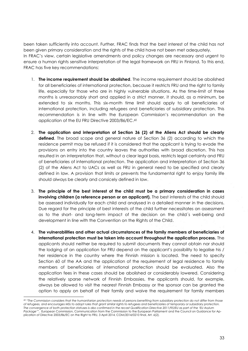been taken sufficiently into account. Further, FRAC finds that the best interest of the child has not been given primary consideration and the rights of the child have not been met adequately. In FRAC's view, certain legislative amendments and policy changes are necessary and urgent to ensure a human rights sensitive interpretation of the legal framework on FRU in Finland. To this end, FRAC has five key recommendations:

- 1. **The income requirement should be abolished**. The income requirement should be abolished for all beneficiaries of international protection, because it restricts FRU and the right to family life, especially for those who are in highly vulnerable situations. As the time-limit of three months is unreasonably short and applied in a strict manner, it should, as a minimum, be extended to six months. This six-month time limit should apply to all beneficiaries of international protection, including refugees and beneficiaries of subsidiary protection. This recommendation is in line with the European Commission's recommendation on the application of the EU FRU Directive 2003/86/EC. 60
- 2. **The application and interpretation of Section 36 (2) of the Aliens Act should be clearly defined**. The broad scope and general nature of Section 36 (2) according to which the residence permit may be refused if it is considered that the applicant is trying to evade the provisions on entry into the country leaves the authorities with broad discretion. This has resulted in an interpretation that, without a clear legal basis, restricts legal certainty and FRU of beneficiaries of international protection. The application and interpretation of Section 36 (2) of the Aliens Act to UACs as well as FRU in general need to be specified and clearly defined in law. A provision that limits or prevents the fundamental right to enjoy family life should always be clearly and consicely defined in law.
- 3. **The principle of the best interest of the child must be a primary consideration in cases involving children (a reference person or an applicant).** The best interests of the child should be assessed individually for each child and analysed in a detailed manner in the decisions. Due regard for the principle of best interests of the child further necessitates an assessment as to the short- and long-term impact of the decision on the child´s well-being and development in line with the Convention on the Rights of the Child.
- 4. **The vulnerabilities and other actual circumstances of the family members of beneficiaries of international protection must be taken into account throughout the application process.** The applicants should neither be required to submit documents they cannot obtain nor should the lodging of an application for FRU depend on the applicant's possibility to legalise his / her residence in the country where the Finnish mission is located. The need to specify Section 60 of the AA and the application of the requirement of legal residence to family members of beneficiaries of international protection should be evaluated. Also the application fees in these cases should be abolished or considerably lowered. Considering the relatively sparse network of Finnish Embassies, the applicants should, for example, always be allowed to visit the nearest Finnish Embassy or the sponsor can be granted the option to apply on behalf of their family and waive the requirement for family members

1

<sup>60</sup> *"The Commission considers that the humanitarian protection needs of persons benefiting from subsidiary protection do not differ from those of refugees, and encourages MSs to adopt rules that grant similar rights to refugees and beneficiaries of temporary or subsidiary protection. The convergence of both protection statuses is also confirmed in the recast Qualification Directive 2011/95/EU as part of the 'EU Asylum Package'*", European Commission, Communication from the Commission to the European Parliament and the Council on Guidance for Application of Directive 2003/86/EC on the Right to FRU, 3 April 2014, COM/2014/0210 final, Art. 6(2).